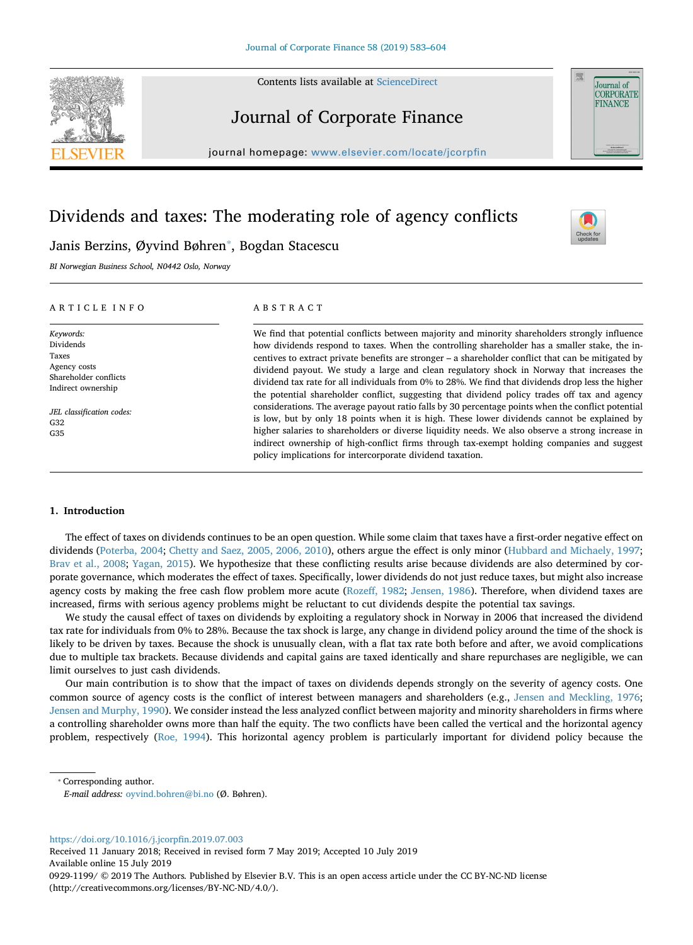Contents lists available at [ScienceDirect](http://www.sciencedirect.com/science/journal/09291199)





# Journal of Corporate Finance

journal homepage: [www.elsevier.com/locate/jcorpfin](https://www.elsevier.com/locate/jcorpfin)

# Dividends and taxes: The moderating role of agency conflicts



# Janis Berzins, Øyvind Bøhren<sup>\*</sup>, Bogdan Stacescu

*BI Norwegian Business School, N0442 Oslo, Norway*

#### ARTICLE INFO

*Keywords:* Dividends Taxes Agency costs Shareholder conflicts Indirect ownership

*JEL classification codes:* G32 G<sub>35</sub>

## ABSTRACT

We find that potential conflicts between majority and minority shareholders strongly influence how dividends respond to taxes. When the controlling shareholder has a smaller stake, the incentives to extract private benefits are stronger – a shareholder conflict that can be mitigated by dividend payout. We study a large and clean regulatory shock in Norway that increases the dividend tax rate for all individuals from 0% to 28%. We find that dividends drop less the higher the potential shareholder conflict, suggesting that dividend policy trades off tax and agency considerations. The average payout ratio falls by 30 percentage points when the conflict potential is low, but by only 18 points when it is high. These lower dividends cannot be explained by higher salaries to shareholders or diverse liquidity needs. We also observe a strong increase in indirect ownership of high-conflict firms through tax-exempt holding companies and suggest policy implications for intercorporate dividend taxation.

# **1. Introduction**

The effect of taxes on dividends continues to be an open question. While some claim that taxes have a first-order negative effect on dividends ([Poterba, 2004](#page-21-0); [Chetty and Saez, 2005, 2006, 2010](#page-20-0)), others argue the effect is only minor [\(Hubbard and Michaely, 1997](#page-20-1); [Brav et al., 2008](#page-20-2); [Yagan, 2015\)](#page-21-1). We hypothesize that these conflicting results arise because dividends are also determined by corporate governance, which moderates the effect of taxes. Specifically, lower dividends do not just reduce taxes, but might also increase agency costs by making the free cash flow problem more acute [\(Rozeff, 1982;](#page-21-2) [Jensen, 1986\)](#page-21-3). Therefore, when dividend taxes are increased, firms with serious agency problems might be reluctant to cut dividends despite the potential tax savings.

We study the causal effect of taxes on dividends by exploiting a regulatory shock in Norway in 2006 that increased the dividend tax rate for individuals from 0% to 28%. Because the tax shock is large, any change in dividend policy around the time of the shock is likely to be driven by taxes. Because the shock is unusually clean, with a flat tax rate both before and after, we avoid complications due to multiple tax brackets. Because dividends and capital gains are taxed identically and share repurchases are negligible, we can limit ourselves to just cash dividends.

Our main contribution is to show that the impact of taxes on dividends depends strongly on the severity of agency costs. One common source of agency costs is the conflict of interest between managers and shareholders (e.g., [Jensen and Meckling, 1976](#page-21-4); [Jensen and Murphy, 1990\)](#page-21-5). We consider instead the less analyzed conflict between majority and minority shareholders in firms where a controlling shareholder owns more than half the equity. The two conflicts have been called the vertical and the horizontal agency problem, respectively [\(Roe, 1994\)](#page-21-6). This horizontal agency problem is particularly important for dividend policy because the

<span id="page-0-0"></span>⁎ Corresponding author.

<https://doi.org/10.1016/j.jcorpfin.2019.07.003>

Received 11 January 2018; Received in revised form 7 May 2019; Accepted 10 July 2019 Available online 15 July 2019

0929-1199/ © 2019 The Authors. Published by Elsevier B.V. This is an open access article under the CC BY-NC-ND license (http://creativecommons.org/licenses/BY-NC-ND/4.0/).

*E-mail address:* [oyvind.bohren@bi.no](mailto:oyvind.bohren@bi.no) (Ø. Bøhren).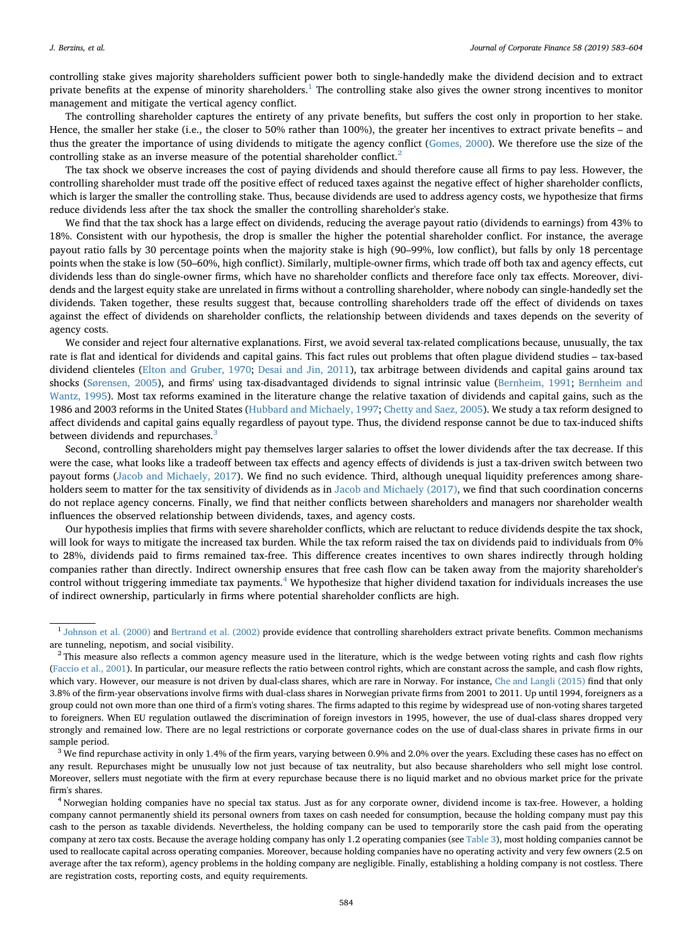controlling stake gives majority shareholders sufficient power both to single-handedly make the dividend decision and to extract private benefits at the expense of minority shareholders.<sup>1</sup> The controlling stake also gives the owner strong incentives to monitor management and mitigate the vertical agency conflict.

The controlling shareholder captures the entirety of any private benefits, but suffers the cost only in proportion to her stake. Hence, the smaller her stake (i.e., the closer to 50% rather than 100%), the greater her incentives to extract private benefits – and thus the greater the importance of using dividends to mitigate the agency conflict [\(Gomes, 2000\)](#page-20-3). We therefore use the size of the controlling stake as an inverse measure of the potential shareholder conflict.<sup>[2](#page-1-1)</sup>

The tax shock we observe increases the cost of paying dividends and should therefore cause all firms to pay less. However, the controlling shareholder must trade off the positive effect of reduced taxes against the negative effect of higher shareholder conflicts, which is larger the smaller the controlling stake. Thus, because dividends are used to address agency costs, we hypothesize that firms reduce dividends less after the tax shock the smaller the controlling shareholder's stake.

We find that the tax shock has a large effect on dividends, reducing the average payout ratio (dividends to earnings) from 43% to 18%. Consistent with our hypothesis, the drop is smaller the higher the potential shareholder conflict. For instance, the average payout ratio falls by 30 percentage points when the majority stake is high (90–99%, low conflict), but falls by only 18 percentage points when the stake is low (50–60%, high conflict). Similarly, multiple-owner firms, which trade off both tax and agency effects, cut dividends less than do single-owner firms, which have no shareholder conflicts and therefore face only tax effects. Moreover, dividends and the largest equity stake are unrelated in firms without a controlling shareholder, where nobody can single-handedly set the dividends. Taken together, these results suggest that, because controlling shareholders trade off the effect of dividends on taxes against the effect of dividends on shareholder conflicts, the relationship between dividends and taxes depends on the severity of agency costs.

We consider and reject four alternative explanations. First, we avoid several tax-related complications because, unusually, the tax rate is flat and identical for dividends and capital gains. This fact rules out problems that often plague dividend studies – tax-based dividend clienteles ([Elton and Gruber, 1970;](#page-20-4) [Desai and Jin, 2011](#page-20-5)), tax arbitrage between dividends and capital gains around tax shocks ([Sørensen, 2005\)](#page-21-7), and firms' using tax-disadvantaged dividends to signal intrinsic value [\(Bernheim, 1991](#page-20-6); [Bernheim and](#page-20-7) [Wantz, 1995](#page-20-7)). Most tax reforms examined in the literature change the relative taxation of dividends and capital gains, such as the 1986 and 2003 reforms in the United States ([Hubbard and Michaely, 1997;](#page-20-1) [Chetty and Saez, 2005\)](#page-20-0). We study a tax reform designed to affect dividends and capital gains equally regardless of payout type. Thus, the dividend response cannot be due to tax-induced shifts between dividends and repurchases.<sup>[3](#page-1-2)</sup>

Second, controlling shareholders might pay themselves larger salaries to offset the lower dividends after the tax decrease. If this were the case, what looks like a tradeoff between tax effects and agency effects of dividends is just a tax-driven switch between two payout forms ([Jacob and Michaely, 2017](#page-20-8)). We find no such evidence. Third, although unequal liquidity preferences among share-holders seem to matter for the tax sensitivity of dividends as in [Jacob and Michaely \(2017\)](#page-20-8), we find that such coordination concerns do not replace agency concerns. Finally, we find that neither conflicts between shareholders and managers nor shareholder wealth influences the observed relationship between dividends, taxes, and agency costs.

Our hypothesis implies that firms with severe shareholder conflicts, which are reluctant to reduce dividends despite the tax shock, will look for ways to mitigate the increased tax burden. While the tax reform raised the tax on dividends paid to individuals from 0% to 28%, dividends paid to firms remained tax-free. This difference creates incentives to own shares indirectly through holding companies rather than directly. Indirect ownership ensures that free cash flow can be taken away from the majority shareholder's control without triggering immediate tax payments.<sup>[4](#page-1-3)</sup> We hypothesize that higher dividend taxation for individuals increases the use of indirect ownership, particularly in firms where potential shareholder conflicts are high.

<span id="page-1-0"></span><sup>1</sup> [Johnson et al. \(2000\)](#page-21-8) and [Bertrand et al. \(2002\)](#page-20-9) provide evidence that controlling shareholders extract private benefits. Common mechanisms are tunneling, nepotism, and social visibility.

<span id="page-1-1"></span> $2$  This measure also reflects a common agency measure used in the literature, which is the wedge between voting rights and cash flow rights ([Faccio et al., 2001](#page-20-10)). In particular, our measure reflects the ratio between control rights, which are constant across the sample, and cash flow rights, which vary. However, our measure is not driven by dual-class shares, which are rare in Norway. For instance, [Che and Langli \(2015\)](#page-20-11) find that only 3.8% of the firm-year observations involve firms with dual-class shares in Norwegian private firms from 2001 to 2011. Up until 1994, foreigners as a group could not own more than one third of a firm's voting shares. The firms adapted to this regime by widespread use of non-voting shares targeted to foreigners. When EU regulation outlawed the discrimination of foreign investors in 1995, however, the use of dual-class shares dropped very strongly and remained low. There are no legal restrictions or corporate governance codes on the use of dual-class shares in private firms in our sample period.

<span id="page-1-2"></span> $3$  We find repurchase activity in only 1.4% of the firm years, varying between 0.9% and 2.0% over the years. Excluding these cases has no effect on any result. Repurchases might be unusually low not just because of tax neutrality, but also because shareholders who sell might lose control. Moreover, sellers must negotiate with the firm at every repurchase because there is no liquid market and no obvious market price for the private firm's shares.

<span id="page-1-3"></span><sup>4</sup> Norwegian holding companies have no special tax status. Just as for any corporate owner, dividend income is tax-free. However, a holding company cannot permanently shield its personal owners from taxes on cash needed for consumption, because the holding company must pay this cash to the person as taxable dividends. Nevertheless, the holding company can be used to temporarily store the cash paid from the operating company at zero tax costs. Because the average holding company has only 1.2 operating companies (see [Table 3\)](#page-13-0), most holding companies cannot be used to reallocate capital across operating companies. Moreover, because holding companies have no operating activity and very few owners (2.5 on average after the tax reform), agency problems in the holding company are negligible. Finally, establishing a holding company is not costless. There are registration costs, reporting costs, and equity requirements.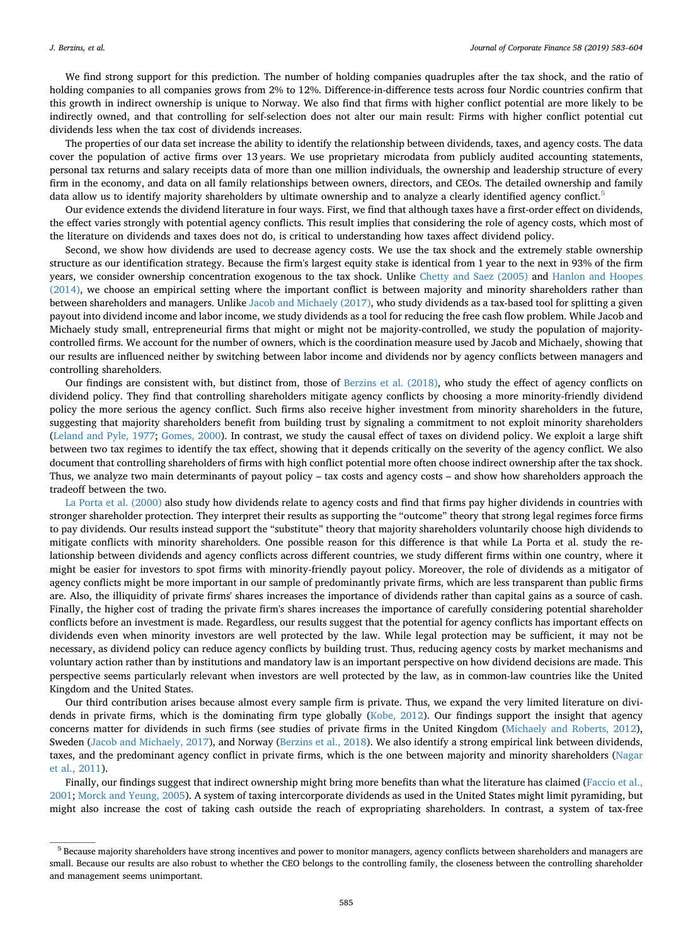We find strong support for this prediction. The number of holding companies quadruples after the tax shock, and the ratio of holding companies to all companies grows from 2% to 12%. Difference-in-difference tests across four Nordic countries confirm that this growth in indirect ownership is unique to Norway. We also find that firms with higher conflict potential are more likely to be indirectly owned, and that controlling for self-selection does not alter our main result: Firms with higher conflict potential cut dividends less when the tax cost of dividends increases.

The properties of our data set increase the ability to identify the relationship between dividends, taxes, and agency costs. The data cover the population of active firms over 13 years. We use proprietary microdata from publicly audited accounting statements, personal tax returns and salary receipts data of more than one million individuals, the ownership and leadership structure of every firm in the economy, and data on all family relationships between owners, directors, and CEOs. The detailed ownership and family data allow us to identify majority shareholders by ultimate ownership and to analyze a clearly identified agency conflict.<sup>5</sup>

Our evidence extends the dividend literature in four ways. First, we find that although taxes have a first-order effect on dividends, the effect varies strongly with potential agency conflicts. This result implies that considering the role of agency costs, which most of the literature on dividends and taxes does not do, is critical to understanding how taxes affect dividend policy.

Second, we show how dividends are used to decrease agency costs. We use the tax shock and the extremely stable ownership structure as our identification strategy. Because the firm's largest equity stake is identical from 1 year to the next in 93% of the firm years, we consider ownership concentration exogenous to the tax shock. Unlike [Chetty and Saez \(2005\)](#page-20-0) and [Hanlon and Hoopes](#page-20-12) [\(2014\),](#page-20-12) we choose an empirical setting where the important conflict is between majority and minority shareholders rather than between shareholders and managers. Unlike [Jacob and Michaely \(2017\),](#page-20-8) who study dividends as a tax-based tool for splitting a given payout into dividend income and labor income, we study dividends as a tool for reducing the free cash flow problem. While Jacob and Michaely study small, entrepreneurial firms that might or might not be majority-controlled, we study the population of majoritycontrolled firms. We account for the number of owners, which is the coordination measure used by Jacob and Michaely, showing that our results are influenced neither by switching between labor income and dividends nor by agency conflicts between managers and controlling shareholders.

Our findings are consistent with, but distinct from, those of [Berzins et al. \(2018\)](#page-20-13), who study the effect of agency conflicts on dividend policy. They find that controlling shareholders mitigate agency conflicts by choosing a more minority-friendly dividend policy the more serious the agency conflict. Such firms also receive higher investment from minority shareholders in the future, suggesting that majority shareholders benefit from building trust by signaling a commitment to not exploit minority shareholders [\(Leland and Pyle, 1977;](#page-21-9) [Gomes, 2000\)](#page-20-3). In contrast, we study the causal effect of taxes on dividend policy. We exploit a large shift between two tax regimes to identify the tax effect, showing that it depends critically on the severity of the agency conflict. We also document that controlling shareholders of firms with high conflict potential more often choose indirect ownership after the tax shock. Thus, we analyze two main determinants of payout policy – tax costs and agency costs – and show how shareholders approach the tradeoff between the two.

[La Porta et al. \(2000\)](#page-21-10) also study how dividends relate to agency costs and find that firms pay higher dividends in countries with stronger shareholder protection. They interpret their results as supporting the "outcome" theory that strong legal regimes force firms to pay dividends. Our results instead support the "substitute" theory that majority shareholders voluntarily choose high dividends to mitigate conflicts with minority shareholders. One possible reason for this difference is that while La Porta et al. study the relationship between dividends and agency conflicts across different countries, we study different firms within one country, where it might be easier for investors to spot firms with minority-friendly payout policy. Moreover, the role of dividends as a mitigator of agency conflicts might be more important in our sample of predominantly private firms, which are less transparent than public firms are. Also, the illiquidity of private firms' shares increases the importance of dividends rather than capital gains as a source of cash. Finally, the higher cost of trading the private firm's shares increases the importance of carefully considering potential shareholder conflicts before an investment is made. Regardless, our results suggest that the potential for agency conflicts has important effects on dividends even when minority investors are well protected by the law. While legal protection may be sufficient, it may not be necessary, as dividend policy can reduce agency conflicts by building trust. Thus, reducing agency costs by market mechanisms and voluntary action rather than by institutions and mandatory law is an important perspective on how dividend decisions are made. This perspective seems particularly relevant when investors are well protected by the law, as in common-law countries like the United Kingdom and the United States.

Our third contribution arises because almost every sample firm is private. Thus, we expand the very limited literature on dividends in private firms, which is the dominating firm type globally [\(Kobe, 2012\)](#page-21-11). Our findings support the insight that agency concerns matter for dividends in such firms (see studies of private firms in the United Kingdom ([Michaely and Roberts, 2012](#page-21-12)), Sweden [\(Jacob and Michaely, 2017](#page-20-8)), and Norway [\(Berzins et al., 2018](#page-20-13)). We also identify a strong empirical link between dividends, taxes, and the predominant agency conflict in private firms, which is the one between majority and minority shareholders [\(Nagar](#page-21-13) [et al., 2011\)](#page-21-13).

Finally, our findings suggest that indirect ownership might bring more benefits than what the literature has claimed [\(Faccio et al.,](#page-20-10) [2001;](#page-20-10) [Morck and Yeung, 2005](#page-21-14)). A system of taxing intercorporate dividends as used in the United States might limit pyramiding, but might also increase the cost of taking cash outside the reach of expropriating shareholders. In contrast, a system of tax-free

<span id="page-2-0"></span><sup>&</sup>lt;sup>5</sup> Because majority shareholders have strong incentives and power to monitor managers, agency conflicts between shareholders and managers are small. Because our results are also robust to whether the CEO belongs to the controlling family, the closeness between the controlling shareholder and management seems unimportant.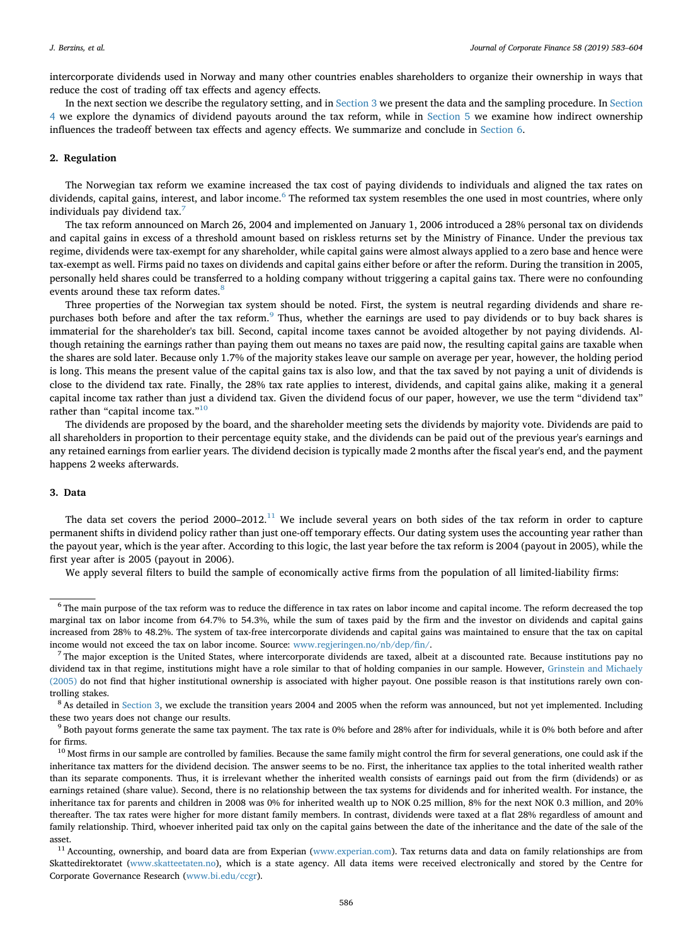intercorporate dividends used in Norway and many other countries enables shareholders to organize their ownership in ways that reduce the cost of trading off tax effects and agency effects.

In the next section we describe the regulatory setting, and in [Section 3](#page-3-0) we present the data and the sampling procedure. In [Section](#page-4-0) [4](#page-4-0) we explore the dynamics of dividend payouts around the tax reform, while in [Section 5](#page-12-0) we examine how indirect ownership influences the tradeoff between tax effects and agency effects. We summarize and conclude in [Section 6.](#page-20-14)

# **2. Regulation**

The Norwegian tax reform we examine increased the tax cost of paying dividends to individuals and aligned the tax rates on dividends, capital gains, interest, and labor income.<sup>6</sup> The reformed tax system resembles the one used in most countries, where only individuals pay dividend tax.<sup>[7](#page-3-2)</sup>

The tax reform announced on March 26, 2004 and implemented on January 1, 2006 introduced a 28% personal tax on dividends and capital gains in excess of a threshold amount based on riskless returns set by the Ministry of Finance. Under the previous tax regime, dividends were tax-exempt for any shareholder, while capital gains were almost always applied to a zero base and hence were tax-exempt as well. Firms paid no taxes on dividends and capital gains either before or after the reform. During the transition in 2005, personally held shares could be transferred to a holding company without triggering a capital gains tax. There were no confounding events around these tax reform dates.<sup>[8](#page-3-3)</sup>

Three properties of the Norwegian tax system should be noted. First, the system is neutral regarding dividends and share re-purchases both before and after the tax reform.<sup>[9](#page-3-4)</sup> Thus, whether the earnings are used to pay dividends or to buy back shares is immaterial for the shareholder's tax bill. Second, capital income taxes cannot be avoided altogether by not paying dividends. Although retaining the earnings rather than paying them out means no taxes are paid now, the resulting capital gains are taxable when the shares are sold later. Because only 1.7% of the majority stakes leave our sample on average per year, however, the holding period is long. This means the present value of the capital gains tax is also low, and that the tax saved by not paying a unit of dividends is close to the dividend tax rate. Finally, the 28% tax rate applies to interest, dividends, and capital gains alike, making it a general capital income tax rather than just a dividend tax. Given the dividend focus of our paper, however, we use the term "dividend tax" rather than "capital income tax."<sup>[10](#page-3-5)</sup>

The dividends are proposed by the board, and the shareholder meeting sets the dividends by majority vote. Dividends are paid to all shareholders in proportion to their percentage equity stake, and the dividends can be paid out of the previous year's earnings and any retained earnings from earlier years. The dividend decision is typically made 2 months after the fiscal year's end, and the payment happens 2 weeks afterwards.

# <span id="page-3-0"></span>**3. Data**

The data set covers the period  $2000-2012$ .<sup>[11](#page-3-6)</sup> We include several years on both sides of the tax reform in order to capture permanent shifts in dividend policy rather than just one-off temporary effects. Our dating system uses the accounting year rather than the payout year, which is the year after. According to this logic, the last year before the tax reform is 2004 (payout in 2005), while the first year after is 2005 (payout in 2006).

We apply several filters to build the sample of economically active firms from the population of all limited-liability firms:

<span id="page-3-1"></span><sup>6</sup> The main purpose of the tax reform was to reduce the difference in tax rates on labor income and capital income. The reform decreased the top marginal tax on labor income from 64.7% to 54.3%, while the sum of taxes paid by the firm and the investor on dividends and capital gains increased from 28% to 48.2%. The system of tax-free intercorporate dividends and capital gains was maintained to ensure that the tax on capital income would not exceed the tax on labor income. Source: [www.regjeringen.no/nb/dep/fin/.](http://www.regjeringen.no/nb/dep/fin/)

<span id="page-3-2"></span> $<sup>7</sup>$  The major exception is the United States, where intercorporate dividends are taxed, albeit at a discounted rate. Because institutions pay no</sup> dividend tax in that regime, institutions might have a role similar to that of holding companies in our sample. However, [Grinstein and Michaely](#page-20-15) [\(2005\)](#page-20-15) do not find that higher institutional ownership is associated with higher payout. One possible reason is that institutions rarely own controlling stakes.

<span id="page-3-3"></span><sup>&</sup>lt;sup>8</sup> As detailed in [Section 3,](#page-3-0) we exclude the transition years 2004 and 2005 when the reform was announced, but not yet implemented. Including these two years does not change our results.

<span id="page-3-4"></span> $9$  Both payout forms generate the same tax payment. The tax rate is 0% before and 28% after for individuals, while it is 0% both before and after for firms.

<span id="page-3-5"></span> $10$  Most firms in our sample are controlled by families. Because the same family might control the firm for several generations, one could ask if the inheritance tax matters for the dividend decision. The answer seems to be no. First, the inheritance tax applies to the total inherited wealth rather than its separate components. Thus, it is irrelevant whether the inherited wealth consists of earnings paid out from the firm (dividends) or as earnings retained (share value). Second, there is no relationship between the tax systems for dividends and for inherited wealth. For instance, the inheritance tax for parents and children in 2008 was 0% for inherited wealth up to NOK 0.25 million, 8% for the next NOK 0.3 million, and 20% thereafter. The tax rates were higher for more distant family members. In contrast, dividends were taxed at a flat 28% regardless of amount and family relationship. Third, whoever inherited paid tax only on the capital gains between the date of the inheritance and the date of the sale of the asset.

<span id="page-3-6"></span> $11$  Accounting, ownership, and board data are from Experian [\(www.experian.com\)](http://www.experian.com). Tax returns data and data on family relationships are from Skattedirektoratet [\(www.skatteetaten.no\)](http://www.skatteetaten.no), which is a state agency. All data items were received electronically and stored by the Centre for Corporate Governance Research [\(www.bi.edu/ccgr\)](http://www.bi.edu/ccgr).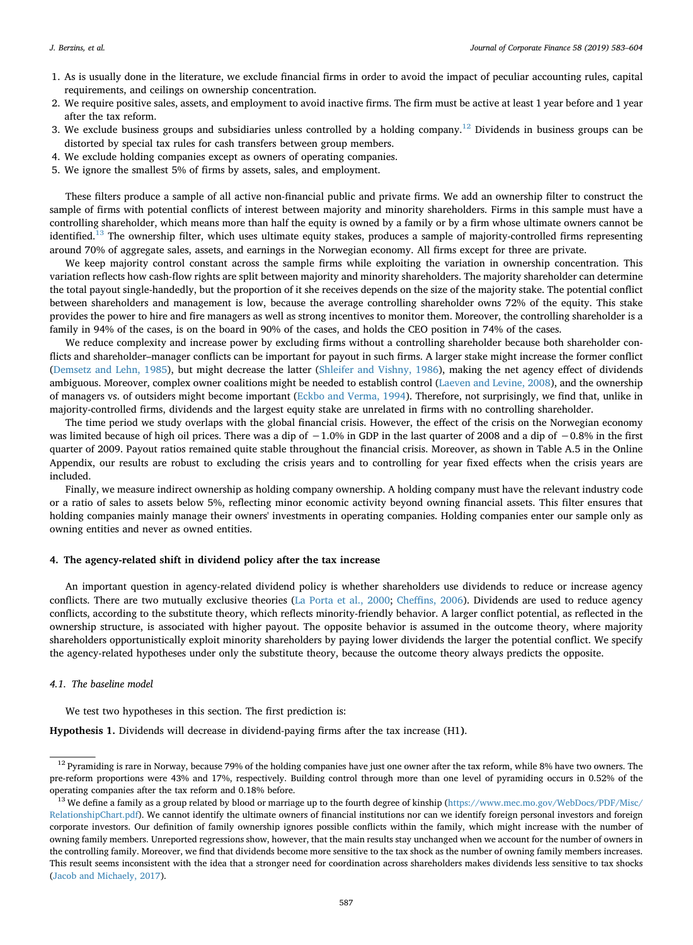- 1. As is usually done in the literature, we exclude financial firms in order to avoid the impact of peculiar accounting rules, capital requirements, and ceilings on ownership concentration.
- 2. We require positive sales, assets, and employment to avoid inactive firms. The firm must be active at least 1 year before and 1 year after the tax reform.
- 3. We exclude business groups and subsidiaries unless controlled by a holding company.<sup>12</sup> Dividends in business groups can be distorted by special tax rules for cash transfers between group members.
- 4. We exclude holding companies except as owners of operating companies.
- 5. We ignore the smallest 5% of firms by assets, sales, and employment.

These filters produce a sample of all active non-financial public and private firms. We add an ownership filter to construct the sample of firms with potential conflicts of interest between majority and minority shareholders. Firms in this sample must have a controlling shareholder, which means more than half the equity is owned by a family or by a firm whose ultimate owners cannot be identified.<sup>13</sup> The ownership filter, which uses ultimate equity stakes, produces a sample of majority-controlled firms representing around 70% of aggregate sales, assets, and earnings in the Norwegian economy. All firms except for three are private.

We keep majority control constant across the sample firms while exploiting the variation in ownership concentration. This variation reflects how cash-flow rights are split between majority and minority shareholders. The majority shareholder can determine the total payout single-handedly, but the proportion of it she receives depends on the size of the majority stake. The potential conflict between shareholders and management is low, because the average controlling shareholder owns 72% of the equity. This stake provides the power to hire and fire managers as well as strong incentives to monitor them. Moreover, the controlling shareholder is a family in 94% of the cases, is on the board in 90% of the cases, and holds the CEO position in 74% of the cases.

We reduce complexity and increase power by excluding firms without a controlling shareholder because both shareholder conflicts and shareholder–manager conflicts can be important for payout in such firms. A larger stake might increase the former conflict [\(Demsetz and Lehn, 1985](#page-20-16)), but might decrease the latter ([Shleifer and Vishny, 1986\)](#page-21-15), making the net agency effect of dividends ambiguous. Moreover, complex owner coalitions might be needed to establish control [\(Laeven and Levine, 2008\)](#page-21-16), and the ownership of managers vs. of outsiders might become important ([Eckbo and Verma, 1994\)](#page-20-17). Therefore, not surprisingly, we find that, unlike in majority-controlled firms, dividends and the largest equity stake are unrelated in firms with no controlling shareholder.

The time period we study overlaps with the global financial crisis. However, the effect of the crisis on the Norwegian economy was limited because of high oil prices. There was a dip of −1.0% in GDP in the last quarter of 2008 and a dip of −0.8% in the first quarter of 2009. Payout ratios remained quite stable throughout the financial crisis. Moreover, as shown in Table A.5 in the Online Appendix, our results are robust to excluding the crisis years and to controlling for year fixed effects when the crisis years are included.

Finally, we measure indirect ownership as holding company ownership. A holding company must have the relevant industry code or a ratio of sales to assets below 5%, reflecting minor economic activity beyond owning financial assets. This filter ensures that holding companies mainly manage their owners' investments in operating companies. Holding companies enter our sample only as owning entities and never as owned entities.

### <span id="page-4-0"></span>**4. The agency-related shift in dividend policy after the tax increase**

An important question in agency-related dividend policy is whether shareholders use dividends to reduce or increase agency conflicts. There are two mutually exclusive theories ([La Porta et al., 2000;](#page-21-10) [Cheffins, 2006\)](#page-20-18). Dividends are used to reduce agency conflicts, according to the substitute theory, which reflects minority-friendly behavior. A larger conflict potential, as reflected in the ownership structure, is associated with higher payout. The opposite behavior is assumed in the outcome theory, where majority shareholders opportunistically exploit minority shareholders by paying lower dividends the larger the potential conflict. We specify the agency-related hypotheses under only the substitute theory, because the outcome theory always predicts the opposite.

### *4.1. The baseline model*

We test two hypotheses in this section. The first prediction is:

**Hypothesis 1.** Dividends will decrease in dividend-paying firms after the tax increase (H1**)**.

<span id="page-4-1"></span> $12$  Pyramiding is rare in Norway, because 79% of the holding companies have just one owner after the tax reform, while 8% have two owners. The pre-reform proportions were 43% and 17%, respectively. Building control through more than one level of pyramiding occurs in 0.52% of the operating companies after the tax reform and 0.18% before.

<span id="page-4-2"></span><sup>&</sup>lt;sup>13</sup> We define a family as a group related by blood or marriage up to the fourth degree of kinship [\(https://www.mec.mo.gov/WebDocs/PDF/Misc/](https://www.mec.mo.gov/WebDocs/PDF/Misc/RelationshipChart.pdf) [RelationshipChart.pdf\)](https://www.mec.mo.gov/WebDocs/PDF/Misc/RelationshipChart.pdf). We cannot identify the ultimate owners of financial institutions nor can we identify foreign personal investors and foreign corporate investors. Our definition of family ownership ignores possible conflicts within the family, which might increase with the number of owning family members. Unreported regressions show, however, that the main results stay unchanged when we account for the number of owners in the controlling family. Moreover, we find that dividends become more sensitive to the tax shock as the number of owning family members increases. This result seems inconsistent with the idea that a stronger need for coordination across shareholders makes dividends less sensitive to tax shocks ([Jacob and Michaely, 2017](#page-20-8)).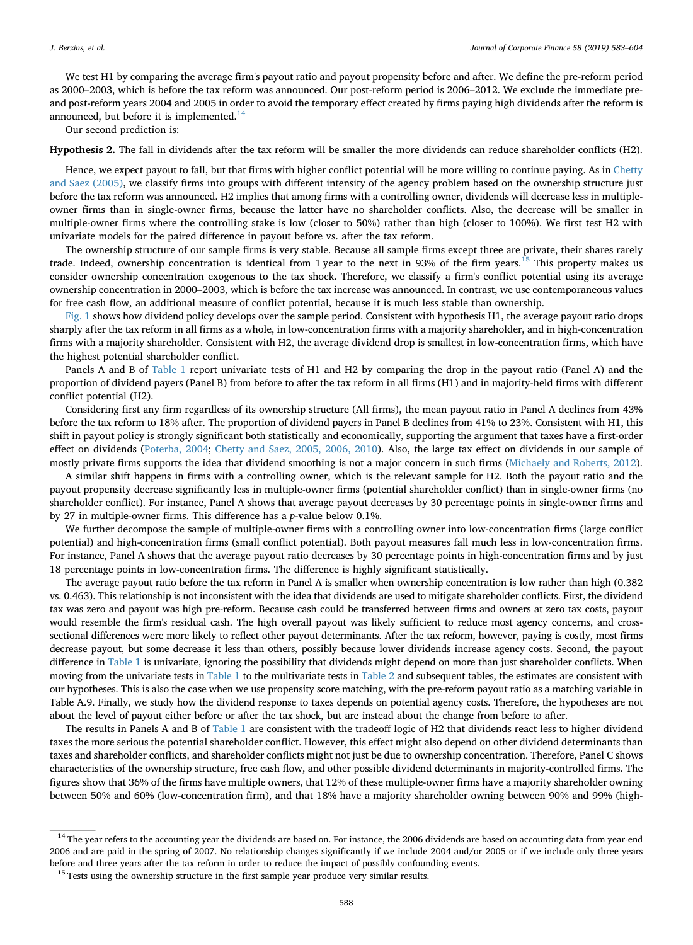We test H1 by comparing the average firm's payout ratio and payout propensity before and after. We define the pre-reform period as 2000–2003, which is before the tax reform was announced. Our post-reform period is 2006–2012. We exclude the immediate preand post-reform years 2004 and 2005 in order to avoid the temporary effect created by firms paying high dividends after the reform is announced, but before it is implemented. $14$ 

Our second prediction is:

**Hypothesis 2.** The fall in dividends after the tax reform will be smaller the more dividends can reduce shareholder conflicts (H2).

Hence, we expect payout to fall, but that firms with higher conflict potential will be more willing to continue paying. As in [Chetty](#page-20-0) [and Saez \(2005\),](#page-20-0) we classify firms into groups with different intensity of the agency problem based on the ownership structure just before the tax reform was announced. H2 implies that among firms with a controlling owner, dividends will decrease less in multipleowner firms than in single-owner firms, because the latter have no shareholder conflicts. Also, the decrease will be smaller in multiple-owner firms where the controlling stake is low (closer to 50%) rather than high (closer to 100%). We first test H2 with univariate models for the paired difference in payout before vs. after the tax reform.

The ownership structure of our sample firms is very stable. Because all sample firms except three are private, their shares rarely trade. Indeed, ownership concentration is identical from 1 year to the next in 93% of the firm years.<sup>[15](#page-5-1)</sup> This property makes us consider ownership concentration exogenous to the tax shock. Therefore, we classify a firm's conflict potential using its average ownership concentration in 2000–2003, which is before the tax increase was announced. In contrast, we use contemporaneous values for free cash flow, an additional measure of conflict potential, because it is much less stable than ownership.

[Fig. 1](#page-6-0) shows how dividend policy develops over the sample period. Consistent with hypothesis H1, the average payout ratio drops sharply after the tax reform in all firms as a whole, in low-concentration firms with a majority shareholder, and in high-concentration firms with a majority shareholder. Consistent with H2, the average dividend drop is smallest in low-concentration firms, which have the highest potential shareholder conflict.

Panels A and B of [Table 1](#page-7-0) report univariate tests of H1 and H2 by comparing the drop in the payout ratio (Panel A) and the proportion of dividend payers (Panel B) from before to after the tax reform in all firms (H1) and in majority-held firms with different conflict potential (H2).

Considering first any firm regardless of its ownership structure (All firms), the mean payout ratio in Panel A declines from 43% before the tax reform to 18% after. The proportion of dividend payers in Panel B declines from 41% to 23%. Consistent with H1, this shift in payout policy is strongly significant both statistically and economically, supporting the argument that taxes have a first-order effect on dividends [\(Poterba, 2004;](#page-21-0) [Chetty and Saez, 2005, 2006, 2010\)](#page-20-0). Also, the large tax effect on dividends in our sample of mostly private firms supports the idea that dividend smoothing is not a major concern in such firms [\(Michaely and Roberts, 2012](#page-21-12)).

A similar shift happens in firms with a controlling owner, which is the relevant sample for H2. Both the payout ratio and the payout propensity decrease significantly less in multiple-owner firms (potential shareholder conflict) than in single-owner firms (no shareholder conflict). For instance, Panel A shows that average payout decreases by 30 percentage points in single-owner firms and by 27 in multiple-owner firms. This difference has a *p*-value below 0.1%.

We further decompose the sample of multiple-owner firms with a controlling owner into low-concentration firms (large conflict potential) and high-concentration firms (small conflict potential). Both payout measures fall much less in low-concentration firms. For instance, Panel A shows that the average payout ratio decreases by 30 percentage points in high-concentration firms and by just 18 percentage points in low-concentration firms. The difference is highly significant statistically.

The average payout ratio before the tax reform in Panel A is smaller when ownership concentration is low rather than high (0.382 vs. 0.463). This relationship is not inconsistent with the idea that dividends are used to mitigate shareholder conflicts. First, the dividend tax was zero and payout was high pre-reform. Because cash could be transferred between firms and owners at zero tax costs, payout would resemble the firm's residual cash. The high overall payout was likely sufficient to reduce most agency concerns, and crosssectional differences were more likely to reflect other payout determinants. After the tax reform, however, paying is costly, most firms decrease payout, but some decrease it less than others, possibly because lower dividends increase agency costs. Second, the payout difference in [Table 1](#page-7-0) is univariate, ignoring the possibility that dividends might depend on more than just shareholder conflicts. When moving from the univariate tests in [Table 1](#page-7-0) to the multivariate tests in [Table 2](#page-8-0) and subsequent tables, the estimates are consistent with our hypotheses. This is also the case when we use propensity score matching, with the pre-reform payout ratio as a matching variable in Table A.9. Finally, we study how the dividend response to taxes depends on potential agency costs. Therefore, the hypotheses are not about the level of payout either before or after the tax shock, but are instead about the change from before to after.

The results in Panels A and B of [Table 1](#page-7-0) are consistent with the tradeoff logic of H2 that dividends react less to higher dividend taxes the more serious the potential shareholder conflict. However, this effect might also depend on other dividend determinants than taxes and shareholder conflicts, and shareholder conflicts might not just be due to ownership concentration. Therefore, Panel C shows characteristics of the ownership structure, free cash flow, and other possible dividend determinants in majority-controlled firms. The figures show that 36% of the firms have multiple owners, that 12% of these multiple-owner firms have a majority shareholder owning between 50% and 60% (low-concentration firm), and that 18% have a majority shareholder owning between 90% and 99% (high-

<span id="page-5-0"></span><sup>&</sup>lt;sup>14</sup> The year refers to the accounting year the dividends are based on. For instance, the 2006 dividends are based on accounting data from year-end 2006 and are paid in the spring of 2007. No relationship changes significantly if we include 2004 and/or 2005 or if we include only three years before and three years after the tax reform in order to reduce the impact of possibly confounding events.

<span id="page-5-1"></span><sup>&</sup>lt;sup>15</sup> Tests using the ownership structure in the first sample year produce very similar results.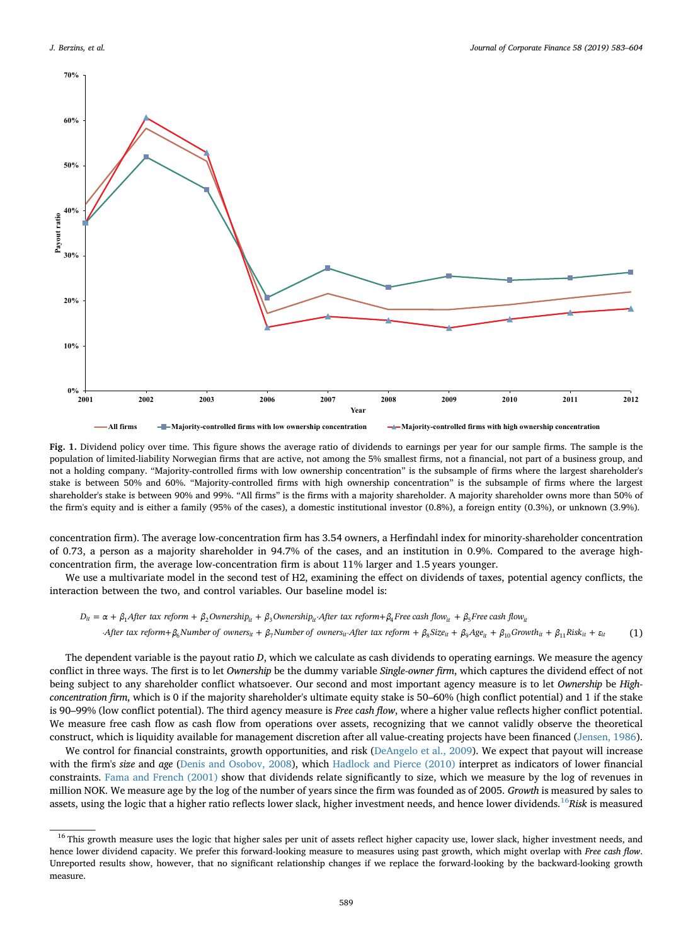<span id="page-6-0"></span>

**Fig. 1.** Dividend policy over time. This figure shows the average ratio of dividends to earnings per year for our sample firms. The sample is the population of limited-liability Norwegian firms that are active, not among the 5% smallest firms, not a financial, not part of a business group, and not a holding company. "Majority-controlled firms with low ownership concentration" is the subsample of firms where the largest shareholder's stake is between 50% and 60%. "Majority-controlled firms with high ownership concentration" is the subsample of firms where the largest shareholder's stake is between 90% and 99%. "All firms" is the firms with a majority shareholder. A majority shareholder owns more than 50% of the firm's equity and is either a family (95% of the cases), a domestic institutional investor (0.8%), a foreign entity (0.3%), or unknown (3.9%).

concentration firm). The average low-concentration firm has 3.54 owners, a Herfindahl index for minority-shareholder concentration of 0.73, a person as a majority shareholder in 94.7% of the cases, and an institution in 0.9%. Compared to the average highconcentration firm, the average low-concentration firm is about 11% larger and 1.5 years younger.

<span id="page-6-2"></span>We use a multivariate model in the second test of H2, examining the effect on dividends of taxes, potential agency conflicts, the interaction between the two, and control variables. Our baseline model is:

$$
D_{it} = \alpha + \beta_1 After \text{ tax reform} + \beta_2 Ownership_{it} + \beta_3 Ownership_{it} \cdot After \text{ tax reform} + \beta_4 Free \text{ cash flow}_{it} + \beta_5 Free \text{ cash flow}_{it}
$$

$$
After \text{ tax reform} + \beta_6 Number \text{ of owners}_{it} + \beta_7 Number \text{ of owners}_{it} \cdot After \text{ tax reform} + \beta_8 Size_{it} + \beta_9 Age_{it} + \beta_{10} Growth_{it} + \beta_{11} Risk_{it} + \varepsilon_{it}
$$
 (1)

The dependent variable is the payout ratio *D*, which we calculate as cash dividends to operating earnings. We measure the agency conflict in three ways. The first is to let *Ownership* be the dummy variable *Single-owner firm*, which captures the dividend effect of not being subject to any shareholder conflict whatsoever. Our second and most important agency measure is to let *Ownership* be *Highconcentration firm*, which is 0 if the majority shareholder's ultimate equity stake is 50–60% (high conflict potential) and 1 if the stake is 90–99% (low conflict potential). The third agency measure is *Free cash flow*, where a higher value reflects higher conflict potential. We measure free cash flow as cash flow from operations over assets, recognizing that we cannot validly observe the theoretical construct, which is liquidity available for management discretion after all value-creating projects have been financed ([Jensen, 1986](#page-21-3)).

We control for financial constraints, growth opportunities, and risk [\(DeAngelo et al., 2009](#page-20-19)). We expect that payout will increase with the firm's *size* and *age* ([Denis and Osobov, 2008](#page-20-20)), which [Hadlock and Pierce \(2010\)](#page-20-21) interpret as indicators of lower financial constraints. [Fama and French \(2001\)](#page-20-22) show that dividends relate significantly to size, which we measure by the log of revenues in million NOK. We measure age by the log of the number of years since the firm was founded as of 2005. *Growth* is measured by sales to assets, using the logic that a higher ratio reflects lower slack, higher investment needs, and hence lower dividends.[16](#page-6-1)*Risk* is measured

<span id="page-6-1"></span><sup>&</sup>lt;sup>16</sup> This growth measure uses the logic that higher sales per unit of assets reflect higher capacity use, lower slack, higher investment needs, and hence lower dividend capacity. We prefer this forward-looking measure to measures using past growth, which might overlap with *Free cash flow*. Unreported results show, however, that no significant relationship changes if we replace the forward-looking by the backward-looking growth measure.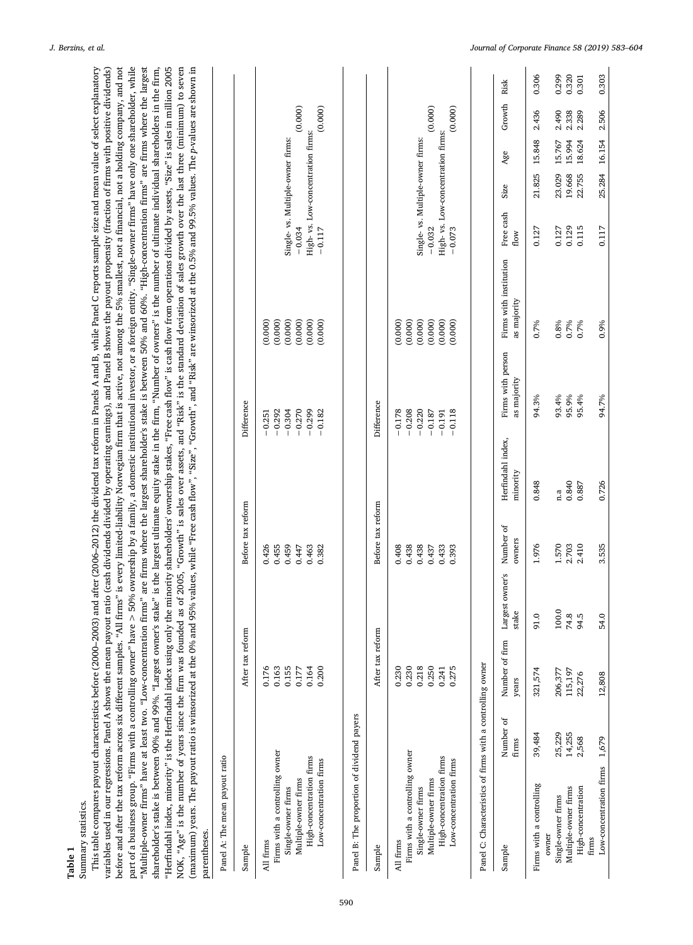**Table 1**

<span id="page-7-0"></span>part of a business group. "Firms with a controlling owner" have > 50% ownership by a family, a domestic institutional investor, or a foreign entity. "Single-owner firms" have only one shareholder, while "Multiple-owner firms" have at least two. "Low-concentration firms" are firms where the largest shareholder's stake is between 50% and 60%. "High-concentration firms" are firms where the largest shareholder's stake is between 90% and 99%. "Largest owner's stake" is the largest ultimate equity stake in the firm, "Number of owners" is the number of ultimate individual shareholders in the firm, "Herfindahl index, minority" is the Herfindahl index using only the minority shareholders' ownership stakes, "Free cash flow" is cash flow from operations divided by assets, "Size" is sales in million 2005 NOK, "Age" is the number of years since the firm was founded as of 2005, "Growth" is sales over assets, and "Risk" is the standard deviation of sales growth over the last three (minimum) to seven maximum) years. The payout ratio is winsorized at the 0% and 95% values, while "Free cash flow", "Size", "Growth", and "Risk" are winsorized at the 0.5% and 99.5% values. The p-values are shown in This table compares payout characteristics before (2000–2003) and after (2006–2012) the dividend tax reform in Panels A and B, while Panel C reports sample size and mean value of select explanatory This table compares payout characteristics before (2000–2003) and after (2006–2012) the dividend tax reform in Panels A and B, while Panel C reports sample size and mean value of select explanatory variables used in our regressions. Panel A shows the mean payout ratio (cash dividends divided by operating earnings), and Panel B shows the payout propensity (fraction of firms with positive dividends) before and after the tax reform across ix different samples. "All firms" is every limited-liability Norwegian firm that is active, not among the 5% smallest, not a financial, not a holding company, and not before and after the tax reform across six different samples. "All firms" is every limited-liability Norwegian firm that is active, not among the 5% smallest, not a financial, not a holding company, and not "Multiple-owner firms" have at least two. "Low-concentration firms" are firms where the largest shareholder's stake is between 50% and 60%. "High-concentration firms" are firms where the largest NOK, "Age" is the number of years since the firm was founded as of 2005, "Growth" is sales over assets, and "Risk" is the standard deviation of sales growth over the last three (minimum) to seven (maximum) years. The payout ratio is winsorized at the 0% and 95% values, while "Free cash flow", "Size", "Growth", and "Risk" are winsorized at the 0.5% and 99.5% values. The *p*-values are shown in variables used in our regressions. Panel A shows the mean payout ratio (cash dividends divided by operating earnings), and Panel B shows the payout propensity (fraction of firms with positive dividends) part of a business group. "Firms with a controlling owner" have > 50% ownership by a family, a domestic institutional investor, or a foreign entity. "Single-owner firms" have only one shareholder, while shareholder's stake is between 90% and 99%. "Largest owner's stake" is the largest ultimate equity stake in the firm, "Number of owners" is the number of ultimate individual shareholders in the firm, "Herfindahl index, minority" is the Herfindahl index using only the minority shareholders' ownership stakes, "Free cash flow" is cash flow from operations divided by assets, "Size" is sales in million 2005 Summary statistics. Summary statistics. parentheses. parentheses.

| Panel A: The mean payout ratio                             |                    |                         |                          |                     |                                                      |                                  |                                       |                                   |               |        |         |       |
|------------------------------------------------------------|--------------------|-------------------------|--------------------------|---------------------|------------------------------------------------------|----------------------------------|---------------------------------------|-----------------------------------|---------------|--------|---------|-------|
| Sample                                                     |                    | After tax reform        |                          | Before tax reform   |                                                      | Difference                       |                                       |                                   |               |        |         |       |
| All firms                                                  |                    | 0.176                   |                          | 0.426               |                                                      | $-0.251$                         | (0.000)                               |                                   |               |        |         |       |
| Firms with a controlling owner                             |                    | 0.163                   |                          | 0.455               |                                                      | $-0.292$                         | (0.000)                               |                                   |               |        |         |       |
| Single-owner firms                                         |                    | 0.155                   |                          | 0.459               |                                                      | $-0.304$                         | (0.000)                               | Single-vs. Multiple-owner firms:  |               |        |         |       |
| Multiple-owner firms                                       |                    | 0.177                   |                          | 0.447               |                                                      | $-0.270$                         | (0.000)                               | $-0.034$                          |               |        | (0.000) |       |
| High-concentration firms                                   |                    | 0.164                   |                          | 0.463               |                                                      | $-0.299$                         | (0.000)                               | High-vs. Low-concentration firms: |               |        |         |       |
| Low-concentration firms                                    |                    | 0.200                   |                          | 0.382               |                                                      | $-0.182$                         | (0.000)                               | $-0.117$                          |               |        | (0.000) |       |
|                                                            |                    |                         |                          |                     |                                                      |                                  |                                       |                                   |               |        |         |       |
| Panel B: The proportion of dividend payers                 |                    |                         |                          |                     |                                                      |                                  |                                       |                                   |               |        |         |       |
| Sample                                                     |                    | After tax reform        |                          | Before tax reform   |                                                      | Difference                       |                                       |                                   |               |        |         |       |
| All firms                                                  |                    | 0.230                   |                          | 0.408               |                                                      | $-0.178$                         | (0.000)                               |                                   |               |        |         |       |
| Firms with a controlling owner                             |                    | 0.230                   |                          | 0.438               |                                                      | $-0.208$                         | (0.000)                               |                                   |               |        |         |       |
| Single-owner firms                                         |                    | 0.218                   |                          | 0.438               |                                                      | $-0.220$                         | (0.000)                               | Single-vs. Multiple-owner firms:  |               |        |         |       |
| Multiple-owner firms                                       |                    | 0.250                   |                          | 0.437               |                                                      | $-0.187$                         | $(0.000)$<br>$(0.000)$                | $-0.032$                          |               |        | (0.000) |       |
| High-concentration firms                                   |                    | 0.241                   |                          | 0.433               |                                                      | $-0.191$                         |                                       | High-vs. Low-concentration firms: |               |        |         |       |
| Low-concentration firms                                    |                    | 0.275                   |                          | 0.393               |                                                      | $-0.118$                         | (0.000)                               | $-0.073$                          |               |        | (0.000) |       |
| Panel C: Characteristics of firms with a controlling owner |                    |                         |                          |                     |                                                      |                                  |                                       |                                   |               |        |         |       |
|                                                            |                    |                         |                          |                     |                                                      |                                  |                                       |                                   |               |        |         |       |
| Sample                                                     | Number of<br>firms | Number of firm<br>years | Largest owner's<br>stake | Number of<br>owners | Herfindahl index,<br>minority                        | Firms with person<br>as majority | Firms with institution<br>as majority | Free cash<br>flow                 | Size          | Age    | Growth  | Risk  |
| Firms with a controlling                                   | 39,484             | 321,574                 | 91.0                     | 1.976               | 0.848                                                | 94.3%                            | 0.7%                                  | 0.127                             | 21.825        | 15.848 | 2.436   | 0.306 |
| owner                                                      |                    |                         |                          |                     |                                                      |                                  |                                       |                                   |               |        |         |       |
| Single-owner firms                                         | 25,229             | 206,377                 | 100.0                    | 1.570<br>2.703      |                                                      | 93.4%                            |                                       | 0.127                             | 23.029        | 15.767 | 2.490   | 0.299 |
| Multiple-owner firms                                       | 14,255             | 115,197                 | 74.8<br>94.5             |                     | $\begin{array}{c} 1.3 \\ 0.840 \\ 0.887 \end{array}$ | 95.9%                            | 0.8%<br>0.7%<br>0.7%                  | 0.129<br>0.115                    | 19.668        | 15.994 | 2.338   | 0.320 |
| High-concentration<br>firms                                | 2,568              | 22,276                  |                          | 2.410               |                                                      | 95.4%                            |                                       |                                   | 22.755        | 18.624 | 2.289   | 0.301 |
| Low-concentration firms 1.679                              |                    | 12.808                  | 54.0                     | 3.535               | 0.726                                                | 94.7%                            | 0.9%                                  | 0.117                             | 25.284 16.154 |        | 2.506   | 0.303 |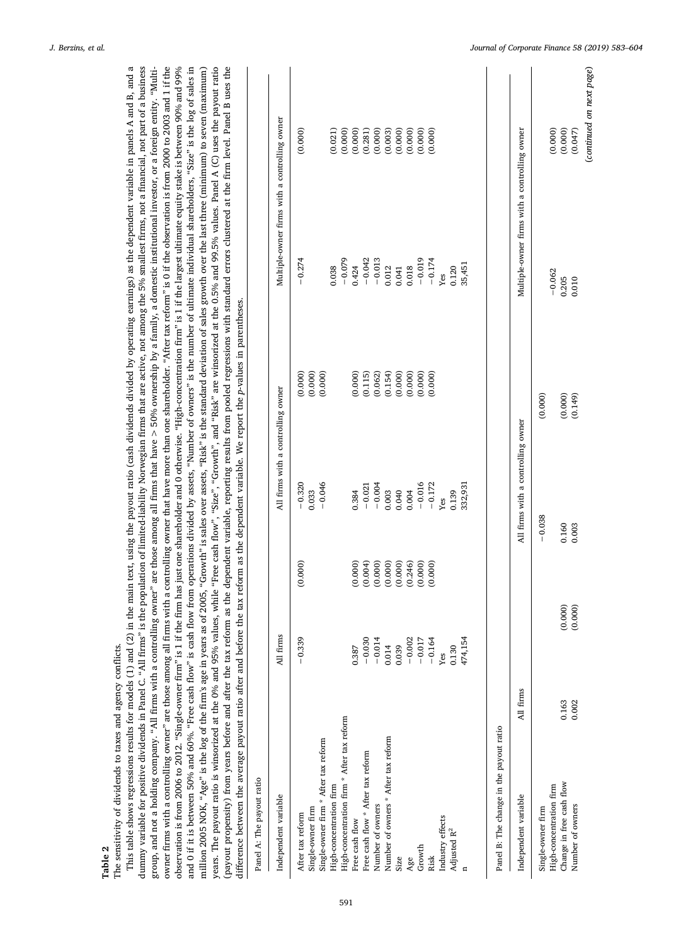| υ |   |
|---|---|
|   |   |
|   |   |
| ť | I |
|   |   |

The sensitivity of dividends to taxes and agency conflicts. The sensitivity of dividends to taxes and agency conflicts.

<span id="page-8-0"></span>years. The payout ratio is winsorized at the 0% and 95% values, while "Free cash flow", "Size", "Growth", and "Risk" are winsorized at the 0.5% and 99.5% values. Panel A (C) uses the payout ratio This table shows regressions results for models (1) and (2) in the main text, using the payout ratio (cash dividends divided by operating earnings) as the dependent variable in panels A and B, and a dummy variable for positive dividends in Panel C. "All firms" is the population of limited-liability Norwegian firms that are active, not among the 5% smallest firms, not a financial, not part of a business group, and not a holding company. "All firms with a controlling owner" are those among all firms that have > 50% ownership by a family, a domestic institutional investor, or a foreign entity. "Multiowner firms with a controlling owner" are those among all firms with a controlling owner that have more than one shareholder. "After tax reform" is 0 if the observation is from 2000 to 2003 and 1 if the observation is from 2006 to 2012. "Single-owner firm" is 1 if the firm has just one shareholder and 0 otherwise. "High-concentration firm" is 1 if the largest ultimate equity stake is between 90% and 99% and 0 if it is between 50% and 60%. "Free cash flow" is cash flow from operations divided by assets, "Number of owners" is the number of ultimate individual shareholders, "Size" is the log of sales in million 2005 NOK, "Age" is the log of the firm's age in years as of 2005, "Growth" is sales over assets, "Risk" is the standard deviation of sales growth over the last three (minimum) to seven (maximum) (payout propensity) from years before and after the tax reform as the dependent variable, reporting results from pooled regressions with standard errors clustered at the firm level. Panel B uses the This table shows regressions results for models (1) and (2) in the main text, using the payout ratio (cash dividends divided by operating earnings) as the dependent variable in panels A and B, and a and 0 if it is between 50% and 60%. "Free cash flow" is cash flow from operations divided by assets, "Number of owners" is the number of ultimate individual shareholders, "Size" is the log of sales in dummy variable for positive dividends in Panel C. "All firms" is the population of limited-liability Norwegian firms that are active, not among the 5% smallest firms, not a financial, not part of a business group, and not a holding company. "All firms with a controlling owner" are those among all firms that have > 50% ownership by a family, a domestic institutional investor, or a foreign entity. "Multiowner firms with a controlling owner" are those among all firms with a controlling owner that have more than one shareholder. "After tax reform" is 0 if the observation is from 2000 to 2003 and 1 if the observation is from 2006 to 2012. "Single-owner firm" is 1 if the firm has just one shareholder and 0 otherwise. "High-concentration firm" is 1 if the largest ultimate equity stake is between 90% and 99% million 2005 NOK, "Age" is the log of the firm's age in years as of 2005, "Growth" is sales over assets, "Risk" is the standard deviation of sales growth over the last three (minimum) to seven (maximum) years. The payout ratio is winsorized at the 0% and 95% values, while "Free cash flow", "Size", "Growth", and "Risk" are winsorized at the 0.5% and 99.5% values. Panel A (C) uses the payout ratio (payout propensity) from years before and after the tax reform as the dependent variable, reporting results from pooled regressions with standard errors clustered at the firm level. Panel B uses the difference between the average payout ratio after and before the tax reform as the dependent variable. We report the p-values in parentheses. difference between the average payout ratio after and before the tax reform as the dependent variable. We report the *p*-values in parentheses. Panel A: The payout ratio Panel A: The payout ratio

| Independent variable                                                          | All firms         |         |                                                                                                                     | All firms with a controlling owner                                                                                                                     |                                                                                         |                                                                                                                                                       | Multiple-owner firms with a controlling owner                                                                                                                                                                                                                                                                          |  |
|-------------------------------------------------------------------------------|-------------------|---------|---------------------------------------------------------------------------------------------------------------------|--------------------------------------------------------------------------------------------------------------------------------------------------------|-----------------------------------------------------------------------------------------|-------------------------------------------------------------------------------------------------------------------------------------------------------|------------------------------------------------------------------------------------------------------------------------------------------------------------------------------------------------------------------------------------------------------------------------------------------------------------------------|--|
| Single-owner firm * After tax reform<br>Single-owner firm<br>After tax reform | $-0.339$          |         | (0.000)                                                                                                             | $-0.320$<br>$-0.046$<br>0.033                                                                                                                          | $(0.000)$<br>$(0.000)$                                                                  | $-0.274$                                                                                                                                              | (0.000)                                                                                                                                                                                                                                                                                                                |  |
| High-concentration firm * After tax reform<br>High-concentration firm         |                   |         |                                                                                                                     |                                                                                                                                                        |                                                                                         | $\begin{array}{r} 0.038 \\ -0.079 \\ -0.424 \\ -0.042 \\ -0.013 \\ -0.013 \\ 0.012 \\ -0.013 \\ -0.013 \\ -0.019 \\ -0.019 \\ \text{Yes} \end{array}$ | $\begin{array}{l} (0.021) \\ (0.000) \\ (0.000) \\ (0.000) \\ (0.000) \\ (0.000) \\ (0.000) \\ (0.000) \\ (0.000) \\ (0.000) \\ (0.000) \\ (0.000) \\ (0.000) \\ (0.000) \\ (0.000) \\ (0.000) \\ (0.000) \\ (0.000) \\ (0.000) \\ (0.000) \\ (0.000) \\ (0.000) \\ (0.000) \\ (0.000) \\ (0.000) \\ (0.000) \\ (0.00$ |  |
| Free cash flow * After tax reform<br>Free cash flow                           | $-0.030$<br>0.387 |         |                                                                                                                     |                                                                                                                                                        |                                                                                         |                                                                                                                                                       |                                                                                                                                                                                                                                                                                                                        |  |
| Number of owners * After tax reform<br>Number of owners                       | $-0.014$<br>0.014 |         | $\begin{array}{l} (0.000) \\ (0.004) \\ (0.000) \\ (0.000) \\ (0.000) \\ (0.246) \\ (0.000) \\ (0.000) \end{array}$ | $\begin{array}{r} 0.384 \\ -0.021 \\ -0.003 \\ 0.003 \\ 0.040 \\ -0.016 \\ -0.016 \\ -0.172 \\ \text{Yes} \\ \text{Yes} \\ 0.139 \\ 0.139 \end{array}$ | $(0.000)$<br>$(0.115)$<br>$(0.062)$<br>$(0.115)$<br>$(0.000)$<br>$(0.000)$<br>$(0.000)$ |                                                                                                                                                       |                                                                                                                                                                                                                                                                                                                        |  |
| Size<br>Age                                                                   | $-0.002$<br>0.039 |         |                                                                                                                     |                                                                                                                                                        |                                                                                         |                                                                                                                                                       |                                                                                                                                                                                                                                                                                                                        |  |
| Growth                                                                        | $-0.017$          |         |                                                                                                                     |                                                                                                                                                        |                                                                                         |                                                                                                                                                       |                                                                                                                                                                                                                                                                                                                        |  |
| Risk                                                                          | $-0.164$          |         | (0.000)                                                                                                             |                                                                                                                                                        |                                                                                         |                                                                                                                                                       |                                                                                                                                                                                                                                                                                                                        |  |
| Industry effects<br>Adjusted R <sup>2</sup>                                   | 0.130<br>Yes      |         |                                                                                                                     |                                                                                                                                                        |                                                                                         |                                                                                                                                                       |                                                                                                                                                                                                                                                                                                                        |  |
|                                                                               | 474,154           |         |                                                                                                                     | 332,931                                                                                                                                                |                                                                                         | 35,451                                                                                                                                                |                                                                                                                                                                                                                                                                                                                        |  |
| Panel B: The change in the payout ratio                                       |                   |         |                                                                                                                     |                                                                                                                                                        |                                                                                         |                                                                                                                                                       |                                                                                                                                                                                                                                                                                                                        |  |
| Independent variable                                                          | All firms         |         |                                                                                                                     | All firms with a controlling owner                                                                                                                     |                                                                                         | Multiple-owner firms with a controlling owner                                                                                                         |                                                                                                                                                                                                                                                                                                                        |  |
| High-concentration firm<br>Single-owner firm                                  |                   |         | $-0.038$                                                                                                            |                                                                                                                                                        | (0.000)                                                                                 |                                                                                                                                                       |                                                                                                                                                                                                                                                                                                                        |  |
| Change in free cash flow                                                      | 0.163             | (0.000) | 0.160                                                                                                               |                                                                                                                                                        | $(0.000)$<br>$(0.149)$                                                                  | $\frac{-0.062}{0.205}$<br>0.205                                                                                                                       | $(0.000)$<br>$(0.000)$<br>$(0.047)$                                                                                                                                                                                                                                                                                    |  |
| Number of owners                                                              | 0.002             | (0.000) | 0.003                                                                                                               |                                                                                                                                                        |                                                                                         |                                                                                                                                                       |                                                                                                                                                                                                                                                                                                                        |  |

(*continued on next page*)

(continued on next page)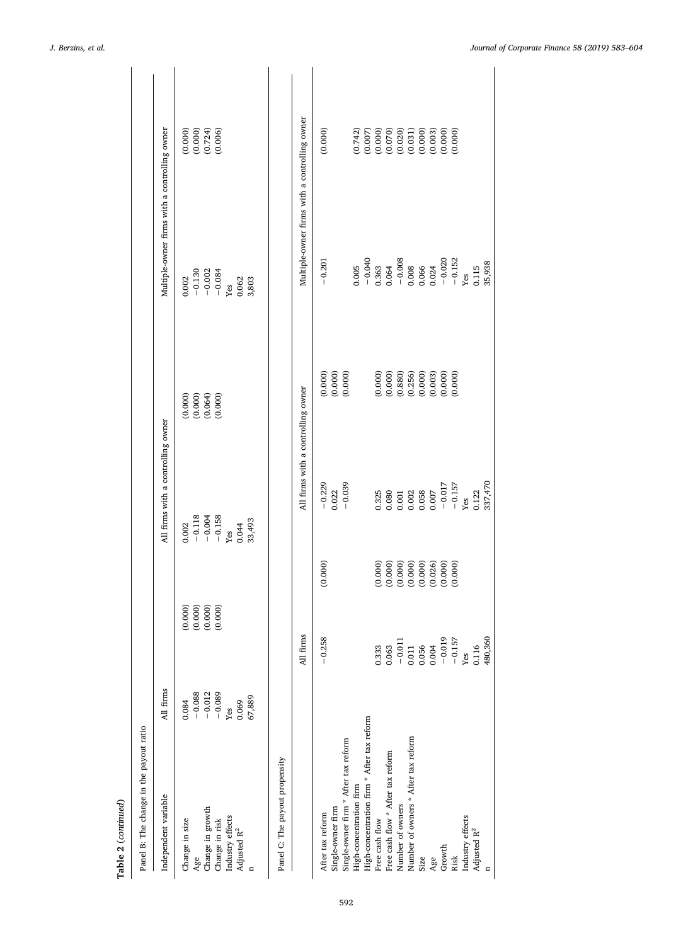| Panel B: The change in the payout ratio    |           |                                                         |                                                                                         |                                                                                                                                                         |                                                                                         |                                                                                                                                                                           |                                                                                                                                                                                                                                                                                                                        |  |
|--------------------------------------------|-----------|---------------------------------------------------------|-----------------------------------------------------------------------------------------|---------------------------------------------------------------------------------------------------------------------------------------------------------|-----------------------------------------------------------------------------------------|---------------------------------------------------------------------------------------------------------------------------------------------------------------------------|------------------------------------------------------------------------------------------------------------------------------------------------------------------------------------------------------------------------------------------------------------------------------------------------------------------------|--|
| Independent variable                       | All firms |                                                         |                                                                                         | All firms with a controlling owner                                                                                                                      |                                                                                         | Multiple-owner firms with a controlling owner                                                                                                                             |                                                                                                                                                                                                                                                                                                                        |  |
| Change in size                             | 0.084     | (0.000)                                                 |                                                                                         | $\begin{array}{r} 0.002 \\ -0.118 \\ -0.004 \\ -0.158 \\ \text{Yes} \\ 0.044 \\ 0.044 \\ 33,493 \end{array}$                                            | $\begin{array}{l} (0.000) \\ (0.000) \\ (0.064) \\ (0.000) \\ (0.000) \end{array}$      | $\begin{array}{r} 0.002 \\ -0.130 \\ -0.002 \\ -0.084 \\ \text{Yes} \\ 0.062 \\ 0.062 \\ 3.803 \\ \end{array}$                                                            | $\begin{array}{c} (0.000) \\ (0.000) \\ (0.724) \\ (0.006) \\ (0.006) \end{array}$                                                                                                                                                                                                                                     |  |
| Age                                        | $-0.088$  | (0.000)                                                 |                                                                                         |                                                                                                                                                         |                                                                                         |                                                                                                                                                                           |                                                                                                                                                                                                                                                                                                                        |  |
| Change in growth                           | $-0.012$  | (0.000)                                                 |                                                                                         |                                                                                                                                                         |                                                                                         |                                                                                                                                                                           |                                                                                                                                                                                                                                                                                                                        |  |
| Change in risk                             | $-0.089$  | (0.000)                                                 |                                                                                         |                                                                                                                                                         |                                                                                         |                                                                                                                                                                           |                                                                                                                                                                                                                                                                                                                        |  |
| Industry effects                           | Yes       |                                                         |                                                                                         |                                                                                                                                                         |                                                                                         |                                                                                                                                                                           |                                                                                                                                                                                                                                                                                                                        |  |
| Adjusted $\rm R^2$                         | 0.069     |                                                         |                                                                                         |                                                                                                                                                         |                                                                                         |                                                                                                                                                                           |                                                                                                                                                                                                                                                                                                                        |  |
|                                            | 67,889    |                                                         |                                                                                         |                                                                                                                                                         |                                                                                         |                                                                                                                                                                           |                                                                                                                                                                                                                                                                                                                        |  |
| Panel C: The payout propensity             |           |                                                         |                                                                                         |                                                                                                                                                         |                                                                                         |                                                                                                                                                                           |                                                                                                                                                                                                                                                                                                                        |  |
|                                            |           | All firms                                               |                                                                                         | All firms with a controlling owner                                                                                                                      |                                                                                         |                                                                                                                                                                           | Multiple-owner firms with a controlling owner                                                                                                                                                                                                                                                                          |  |
| After tax reform                           |           | $-0.258$                                                | (0.000)                                                                                 | $-0.229$<br>$0.022$                                                                                                                                     |                                                                                         | $-0.201$                                                                                                                                                                  | (0.000)                                                                                                                                                                                                                                                                                                                |  |
| Single-owner firm                          |           |                                                         |                                                                                         |                                                                                                                                                         |                                                                                         |                                                                                                                                                                           |                                                                                                                                                                                                                                                                                                                        |  |
| Single-owner firm * After tax reform       |           |                                                         |                                                                                         | $-0.039$                                                                                                                                                | $(0.000)$<br>$(0.000)$<br>$(0.000)$                                                     |                                                                                                                                                                           |                                                                                                                                                                                                                                                                                                                        |  |
| High-concentration firm                    |           |                                                         |                                                                                         |                                                                                                                                                         |                                                                                         |                                                                                                                                                                           |                                                                                                                                                                                                                                                                                                                        |  |
| High-concentration firm * After tax reform |           |                                                         |                                                                                         |                                                                                                                                                         |                                                                                         | $\begin{array}{r} 0.005 \\ -0.040 \\ -0.363 \\ 0.064 \\ -0.008 \\ -0.008 \\ 0.0066 \\ -0.024 \\ -0.020 \\ -0.021 \\ \text{Yes} \\ 0.115 \\ 0.115 \\ 0.115 \\ \end{array}$ | $\begin{array}{l} (0.742) \\ (0.000) \\ (0.000) \\ (0.000) \\ (0.001) \\ (0.001) \\ (0.001) \\ (0.000) \\ (0.001) \\ (0.000) \\ (0.000) \\ (0.000) \\ (0.000) \\ (0.000) \\ (0.000) \\ (0.000) \\ (0.000) \\ (0.000) \\ (0.000) \\ (0.000) \\ (0.000) \\ (0.000) \\ (0.000) \\ (0.000) \\ (0.000) \\ (0.000) \\ (0.00$ |  |
| Free cash flow                             |           | 0.333                                                   |                                                                                         |                                                                                                                                                         |                                                                                         |                                                                                                                                                                           |                                                                                                                                                                                                                                                                                                                        |  |
| Free cash flow * After tax reform          |           | 0.063                                                   | $(0.000)$<br>$(0.000)$<br>$(0.000)$<br>$(0.000)$<br>$(0.000)$<br>$(0.000)$<br>$(0.000)$ |                                                                                                                                                         | $(0.000)$<br>$(0.000)$<br>$(0.000)$<br>$(0.000)$<br>$(0.000)$<br>$(0.000)$<br>$(0.000)$ |                                                                                                                                                                           |                                                                                                                                                                                                                                                                                                                        |  |
| Number of owners                           |           |                                                         |                                                                                         |                                                                                                                                                         |                                                                                         |                                                                                                                                                                           |                                                                                                                                                                                                                                                                                                                        |  |
| Number of owners * After tax reform        |           |                                                         |                                                                                         |                                                                                                                                                         |                                                                                         |                                                                                                                                                                           |                                                                                                                                                                                                                                                                                                                        |  |
| Size                                       |           | $\begin{array}{r} -0.011 \\ 0.011 \\ 0.056 \end{array}$ |                                                                                         |                                                                                                                                                         |                                                                                         |                                                                                                                                                                           |                                                                                                                                                                                                                                                                                                                        |  |
| Age                                        |           | 0.004                                                   |                                                                                         |                                                                                                                                                         |                                                                                         |                                                                                                                                                                           |                                                                                                                                                                                                                                                                                                                        |  |
| Growth                                     |           |                                                         |                                                                                         |                                                                                                                                                         |                                                                                         |                                                                                                                                                                           |                                                                                                                                                                                                                                                                                                                        |  |
| Risk                                       |           | $-0.019$<br>$-0.157$                                    |                                                                                         |                                                                                                                                                         |                                                                                         |                                                                                                                                                                           |                                                                                                                                                                                                                                                                                                                        |  |
| Industry effects                           |           | Yes                                                     |                                                                                         |                                                                                                                                                         |                                                                                         |                                                                                                                                                                           |                                                                                                                                                                                                                                                                                                                        |  |
| Adjusted R <sup>2</sup>                    |           | 0.116                                                   |                                                                                         | $\begin{array}{l} 0.325 \\ 0.080 \\ 0.001 \\ 0.001 \\ 0.002 \\ 0.003 \\ 0.007 \\ -0.0157 \\ \text{Yes} \\ 0.122 \\ 0.137,470 \\ 337,470 \\ \end{array}$ |                                                                                         |                                                                                                                                                                           |                                                                                                                                                                                                                                                                                                                        |  |
|                                            |           | 480,360                                                 |                                                                                         |                                                                                                                                                         |                                                                                         |                                                                                                                                                                           |                                                                                                                                                                                                                                                                                                                        |  |

**Table 2** (*continued*)

 ${\tt Table\ 2}$  (continued)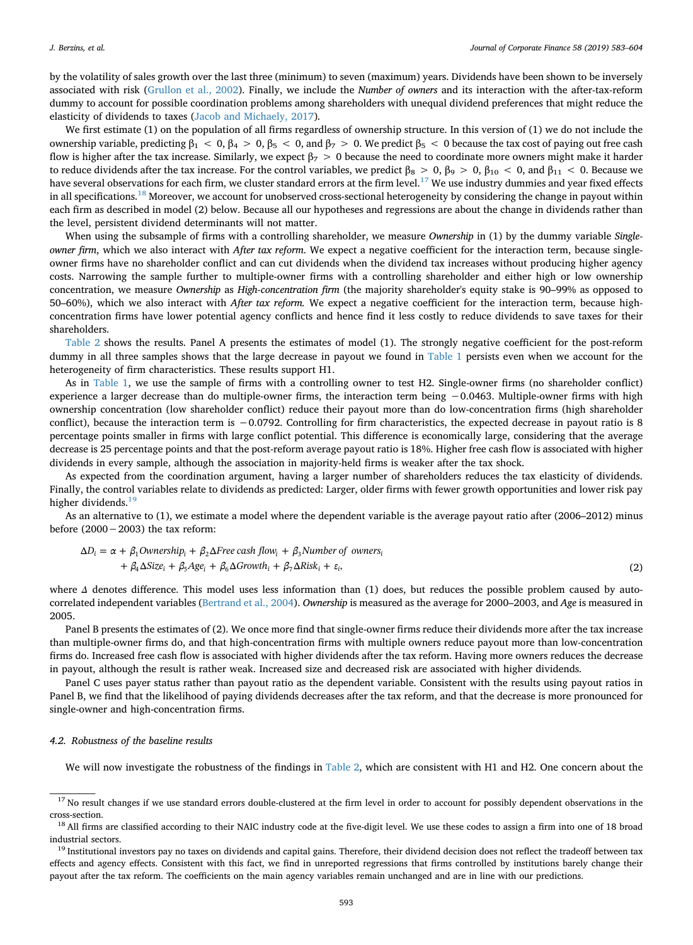by the volatility of sales growth over the last three (minimum) to seven (maximum) years. Dividends have been shown to be inversely associated with risk [\(Grullon et al., 2002](#page-20-23)). Finally, we include the *Number of owners* and its interaction with the after-tax-reform dummy to account for possible coordination problems among shareholders with unequal dividend preferences that might reduce the elasticity of dividends to taxes ([Jacob and Michaely, 2017\)](#page-20-8)*.*

We first estimate (1) on the population of all firms regardless of ownership structure. In this version of (1) we do not include the ownership variable, predicting  $β_1 < 0$ ,  $β_4 > 0$ ,  $β_5 < 0$ , and  $β_7 > 0$ . We predict  $β_5 < 0$  because the tax cost of paying out free cash flow is higher after the tax increase. Similarly, we expect  $\beta$ <sub>7</sub> > 0 because the need to coordinate more owners might make it harder to reduce dividends after the tax increase. For the control variables, we predict  $β_8 > 0, β_9 > 0, β_{10} < 0,$  and  $β_{11} < 0$ . Because we have several observations for each firm, we cluster standard errors at the firm level. $^{17}$  We use industry dummies and year fixed effects in all specifications.<sup>[18](#page-10-1)</sup> Moreover, we account for unobserved cross-sectional heterogeneity by considering the change in payout within each firm as described in model (2) below. Because all our hypotheses and regressions are about the change in dividends rather than the level, persistent dividend determinants will not matter.

When using the subsample of firms with a controlling shareholder, we measure *Ownership* in (1) by the dummy variable *Singleowner firm*, which we also interact with *After tax reform*. We expect a negative coefficient for the interaction term, because singleowner firms have no shareholder conflict and can cut dividends when the dividend tax increases without producing higher agency costs. Narrowing the sample further to multiple-owner firms with a controlling shareholder and either high or low ownership concentration, we measure *Ownership* as *High-concentration firm* (the majority shareholder's equity stake is 90–99% as opposed to 50–60%), which we also interact with *After tax reform.* We expect a negative coefficient for the interaction term, because highconcentration firms have lower potential agency conflicts and hence find it less costly to reduce dividends to save taxes for their shareholders.

[Table 2](#page-8-0) shows the results. Panel A presents the estimates of model (1). The strongly negative coefficient for the post-reform dummy in all three samples shows that the large decrease in payout we found in [Table 1](#page-7-0) persists even when we account for the heterogeneity of firm characteristics. These results support H1.

As in [Table 1,](#page-7-0) we use the sample of firms with a controlling owner to test H2. Single-owner firms (no shareholder conflict) experience a larger decrease than do multiple-owner firms, the interaction term being −0.0463. Multiple-owner firms with high ownership concentration (low shareholder conflict) reduce their payout more than do low-concentration firms (high shareholder conflict), because the interaction term is −0.0792. Controlling for firm characteristics, the expected decrease in payout ratio is 8 percentage points smaller in firms with large conflict potential. This difference is economically large, considering that the average decrease is 25 percentage points and that the post-reform average payout ratio is 18%. Higher free cash flow is associated with higher dividends in every sample, although the association in majority-held firms is weaker after the tax shock.

As expected from the coordination argument, having a larger number of shareholders reduces the tax elasticity of dividends. Finally, the control variables relate to dividends as predicted: Larger, older firms with fewer growth opportunities and lower risk pay higher dividends. $19$ 

<span id="page-10-3"></span>As an alternative to (1), we estimate a model where the dependent variable is the average payout ratio after (2006–2012) minus before (2000−2003) the tax reform:

$$
\Delta D_i = \alpha + \beta_1 \text{Ownership}_i + \beta_2 \Delta Free \cosh flow_i + \beta_3 \text{Number of owners}_i
$$
  
+  $\beta_4 \Delta Size_i + \beta_5 Age_i + \beta_6 \Delta Growth_i + \beta_7 \Delta Risk_i + \varepsilon_i,$  (2)

where *Δ* denotes difference. This model uses less information than (1) does, but reduces the possible problem caused by autocorrelated independent variables ([Bertrand et al., 2004\)](#page-20-24). *Ownership* is measured as the average for 2000–2003, and *Age* is measured in 2005.

Panel B presents the estimates of (2). We once more find that single-owner firms reduce their dividends more after the tax increase than multiple-owner firms do, and that high-concentration firms with multiple owners reduce payout more than low-concentration firms do. Increased free cash flow is associated with higher dividends after the tax reform. Having more owners reduces the decrease in payout, although the result is rather weak. Increased size and decreased risk are associated with higher dividends.

Panel C uses payer status rather than payout ratio as the dependent variable. Consistent with the results using payout ratios in Panel B, we find that the likelihood of paying dividends decreases after the tax reform, and that the decrease is more pronounced for single-owner and high-concentration firms.

## *4.2. Robustness of the baseline results*

We will now investigate the robustness of the findings in [Table 2](#page-8-0), which are consistent with H1 and H2. One concern about the

<span id="page-10-0"></span><sup>&</sup>lt;sup>17</sup> No result changes if we use standard errors double-clustered at the firm level in order to account for possibly dependent observations in the cross-section.

<span id="page-10-1"></span><sup>&</sup>lt;sup>18</sup> All firms are classified according to their NAIC industry code at the five-digit level. We use these codes to assign a firm into one of 18 broad industrial sectors.

<span id="page-10-2"></span><sup>&</sup>lt;sup>19</sup> Institutional investors pay no taxes on dividends and capital gains. Therefore, their dividend decision does not reflect the tradeoff between tax effects and agency effects. Consistent with this fact, we find in unreported regressions that firms controlled by institutions barely change their payout after the tax reform. The coefficients on the main agency variables remain unchanged and are in line with our predictions.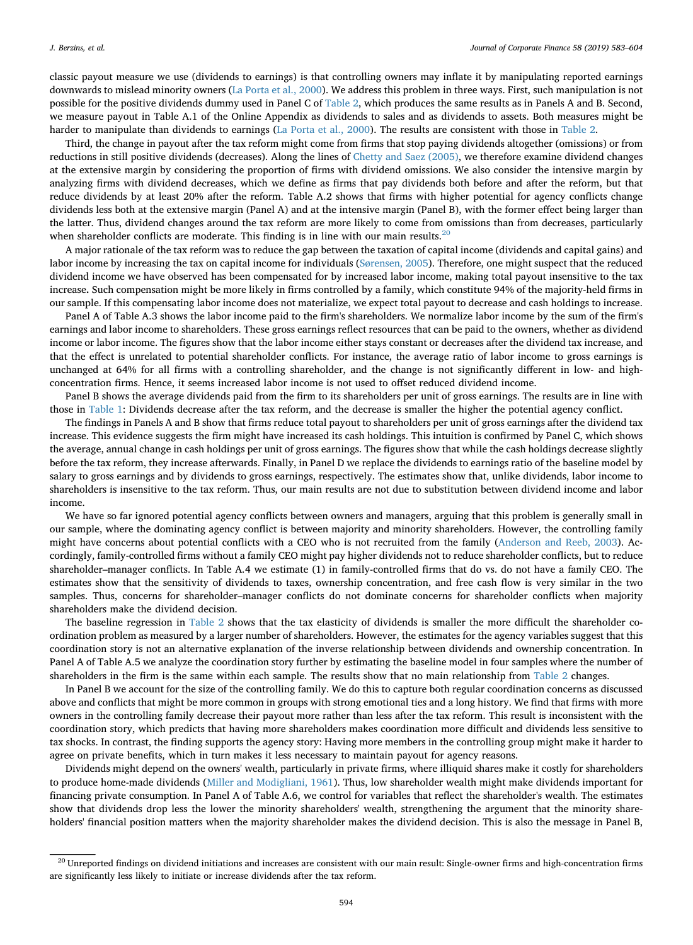classic payout measure we use (dividends to earnings) is that controlling owners may inflate it by manipulating reported earnings downwards to mislead minority owners ([La Porta et al., 2000\)](#page-21-10). We address this problem in three ways. First, such manipulation is not possible for the positive dividends dummy used in Panel C of [Table 2,](#page-8-0) which produces the same results as in Panels A and B. Second, we measure payout in Table A.1 of the Online Appendix as dividends to sales and as dividends to assets. Both measures might be harder to manipulate than dividends to earnings ([La Porta et al., 2000\)](#page-21-10). The results are consistent with those in [Table 2](#page-8-0).

Third, the change in payout after the tax reform might come from firms that stop paying dividends altogether (omissions) or from reductions in still positive dividends (decreases). Along the lines of [Chetty and Saez \(2005\)](#page-20-0), we therefore examine dividend changes at the extensive margin by considering the proportion of firms with dividend omissions. We also consider the intensive margin by analyzing firms with dividend decreases, which we define as firms that pay dividends both before and after the reform, but that reduce dividends by at least 20% after the reform. Table A.2 shows that firms with higher potential for agency conflicts change dividends less both at the extensive margin (Panel A) and at the intensive margin (Panel B), with the former effect being larger than the latter. Thus, dividend changes around the tax reform are more likely to come from omissions than from decreases, particularly when shareholder conflicts are moderate. This finding is in line with our main results. $^{20}$  $^{20}$  $^{20}$ 

A major rationale of the tax reform was to reduce the gap between the taxation of capital income (dividends and capital gains) and labor income by increasing the tax on capital income for individuals ([Sørensen, 2005\)](#page-21-7). Therefore, one might suspect that the reduced dividend income we have observed has been compensated for by increased labor income, making total payout insensitive to the tax increase**.** Such compensation might be more likely in firms controlled by a family, which constitute 94% of the majority-held firms in our sample. If this compensating labor income does not materialize, we expect total payout to decrease and cash holdings to increase.

Panel A of Table A.3 shows the labor income paid to the firm's shareholders. We normalize labor income by the sum of the firm's earnings and labor income to shareholders. These gross earnings reflect resources that can be paid to the owners, whether as dividend income or labor income. The figures show that the labor income either stays constant or decreases after the dividend tax increase, and that the effect is unrelated to potential shareholder conflicts. For instance, the average ratio of labor income to gross earnings is unchanged at 64% for all firms with a controlling shareholder, and the change is not significantly different in low- and highconcentration firms. Hence, it seems increased labor income is not used to offset reduced dividend income.

Panel B shows the average dividends paid from the firm to its shareholders per unit of gross earnings. The results are in line with those in [Table 1:](#page-7-0) Dividends decrease after the tax reform, and the decrease is smaller the higher the potential agency conflict.

The findings in Panels A and B show that firms reduce total payout to shareholders per unit of gross earnings after the dividend tax increase. This evidence suggests the firm might have increased its cash holdings. This intuition is confirmed by Panel C, which shows the average, annual change in cash holdings per unit of gross earnings. The figures show that while the cash holdings decrease slightly before the tax reform, they increase afterwards. Finally, in Panel D we replace the dividends to earnings ratio of the baseline model by salary to gross earnings and by dividends to gross earnings, respectively. The estimates show that, unlike dividends, labor income to shareholders is insensitive to the tax reform. Thus, our main results are not due to substitution between dividend income and labor income.

We have so far ignored potential agency conflicts between owners and managers, arguing that this problem is generally small in our sample, where the dominating agency conflict is between majority and minority shareholders. However, the controlling family might have concerns about potential conflicts with a CEO who is not recruited from the family ([Anderson and Reeb, 2003](#page-20-25)). Accordingly, family-controlled firms without a family CEO might pay higher dividends not to reduce shareholder conflicts, but to reduce shareholder–manager conflicts. In Table A.4 we estimate (1) in family-controlled firms that do vs. do not have a family CEO. The estimates show that the sensitivity of dividends to taxes, ownership concentration, and free cash flow is very similar in the two samples. Thus, concerns for shareholder–manager conflicts do not dominate concerns for shareholder conflicts when majority shareholders make the dividend decision.

The baseline regression in [Table 2](#page-8-0) shows that the tax elasticity of dividends is smaller the more difficult the shareholder coordination problem as measured by a larger number of shareholders. However, the estimates for the agency variables suggest that this coordination story is not an alternative explanation of the inverse relationship between dividends and ownership concentration. In Panel A of Table A.5 we analyze the coordination story further by estimating the baseline model in four samples where the number of shareholders in the firm is the same within each sample. The results show that no main relationship from [Table 2](#page-8-0) changes.

In Panel B we account for the size of the controlling family. We do this to capture both regular coordination concerns as discussed above and conflicts that might be more common in groups with strong emotional ties and a long history. We find that firms with more owners in the controlling family decrease their payout more rather than less after the tax reform. This result is inconsistent with the coordination story, which predicts that having more shareholders makes coordination more difficult and dividends less sensitive to tax shocks. In contrast, the finding supports the agency story: Having more members in the controlling group might make it harder to agree on private benefits, which in turn makes it less necessary to maintain payout for agency reasons.

Dividends might depend on the owners' wealth, particularly in private firms, where illiquid shares make it costly for shareholders to produce home-made dividends [\(Miller and Modigliani, 1961](#page-21-17)). Thus, low shareholder wealth might make dividends important for financing private consumption. In Panel A of Table A.6, we control for variables that reflect the shareholder's wealth. The estimates show that dividends drop less the lower the minority shareholders' wealth, strengthening the argument that the minority shareholders' financial position matters when the majority shareholder makes the dividend decision. This is also the message in Panel B,

<span id="page-11-0"></span> $20$  Unreported findings on dividend initiations and increases are consistent with our main result: Single-owner firms and high-concentration firms are significantly less likely to initiate or increase dividends after the tax reform.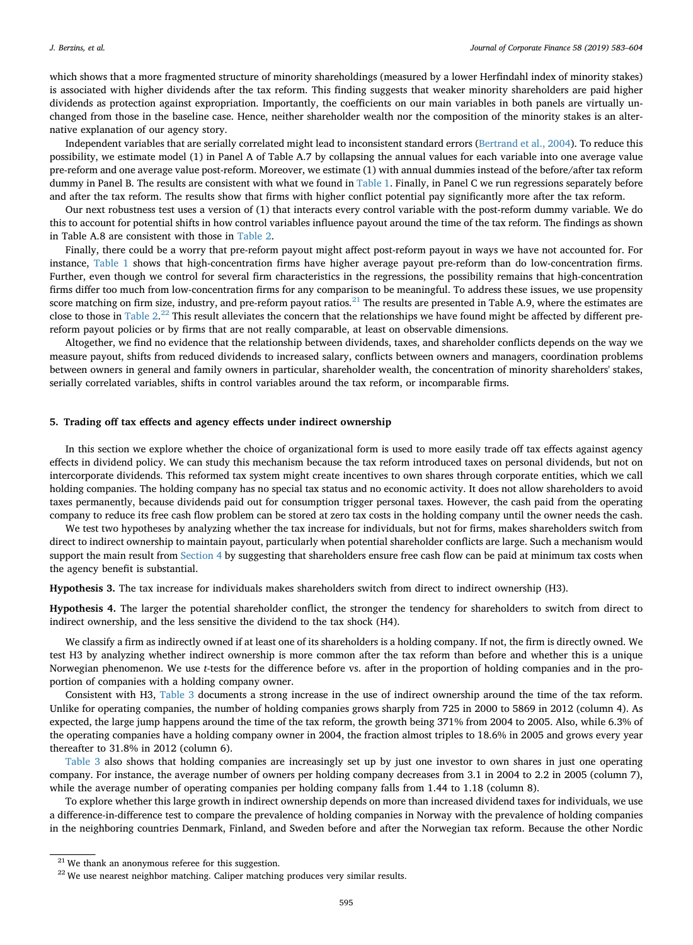which shows that a more fragmented structure of minority shareholdings (measured by a lower Herfindahl index of minority stakes) is associated with higher dividends after the tax reform. This finding suggests that weaker minority shareholders are paid higher dividends as protection against expropriation. Importantly, the coefficients on our main variables in both panels are virtually unchanged from those in the baseline case. Hence, neither shareholder wealth nor the composition of the minority stakes is an alternative explanation of our agency story.

Independent variables that are serially correlated might lead to inconsistent standard errors [\(Bertrand et al., 2004](#page-20-24)). To reduce this possibility, we estimate model (1) in Panel A of Table A.7 by collapsing the annual values for each variable into one average value pre-reform and one average value post-reform. Moreover, we estimate (1) with annual dummies instead of the before/after tax reform dummy in Panel B. The results are consistent with what we found in [Table 1](#page-7-0). Finally, in Panel C we run regressions separately before and after the tax reform. The results show that firms with higher conflict potential pay significantly more after the tax reform.

Our next robustness test uses a version of (1) that interacts every control variable with the post-reform dummy variable. We do this to account for potential shifts in how control variables influence payout around the time of the tax reform. The findings as shown in Table A.8 are consistent with those in [Table 2](#page-8-0).

Finally, there could be a worry that pre-reform payout might affect post-reform payout in ways we have not accounted for. For instance, [Table 1](#page-7-0) shows that high-concentration firms have higher average payout pre-reform than do low-concentration firms. Further, even though we control for several firm characteristics in the regressions, the possibility remains that high-concentration firms differ too much from low-concentration firms for any comparison to be meaningful. To address these issues, we use propensity score matching on firm size, industry, and pre-reform payout ratios. $21$  The results are presented in Table A.9, where the estimates are close to those in Table  $2.22$  $2.22$  This result alleviates the concern that the relationships we have found might be affected by different prereform payout policies or by firms that are not really comparable, at least on observable dimensions.

Altogether, we find no evidence that the relationship between dividends, taxes, and shareholder conflicts depends on the way we measure payout, shifts from reduced dividends to increased salary, conflicts between owners and managers, coordination problems between owners in general and family owners in particular, shareholder wealth, the concentration of minority shareholders' stakes, serially correlated variables, shifts in control variables around the tax reform, or incomparable firms.

## <span id="page-12-0"></span>**5. Trading off tax effects and agency effects under indirect ownership**

In this section we explore whether the choice of organizational form is used to more easily trade off tax effects against agency effects in dividend policy. We can study this mechanism because the tax reform introduced taxes on personal dividends, but not on intercorporate dividends. This reformed tax system might create incentives to own shares through corporate entities, which we call holding companies. The holding company has no special tax status and no economic activity. It does not allow shareholders to avoid taxes permanently, because dividends paid out for consumption trigger personal taxes. However, the cash paid from the operating company to reduce its free cash flow problem can be stored at zero tax costs in the holding company until the owner needs the cash.

We test two hypotheses by analyzing whether the tax increase for individuals, but not for firms, makes shareholders switch from direct to indirect ownership to maintain payout, particularly when potential shareholder conflicts are large. Such a mechanism would support the main result from [Section 4](#page-4-0) by suggesting that shareholders ensure free cash flow can be paid at minimum tax costs when the agency benefit is substantial.

**Hypothesis 3.** The tax increase for individuals makes shareholders switch from direct to indirect ownership (H3).

**Hypothesis 4.** The larger the potential shareholder conflict, the stronger the tendency for shareholders to switch from direct to indirect ownership, and the less sensitive the dividend to the tax shock (H4).

We classify a firm as indirectly owned if at least one of its shareholders is a holding company. If not, the firm is directly owned. We test H3 by analyzing whether indirect ownership is more common after the tax reform than before and whether this is a unique Norwegian phenomenon. We use *t-*tests for the difference before vs. after in the proportion of holding companies and in the proportion of companies with a holding company owner.

Consistent with H3, [Table 3](#page-13-0) documents a strong increase in the use of indirect ownership around the time of the tax reform. Unlike for operating companies, the number of holding companies grows sharply from 725 in 2000 to 5869 in 2012 (column 4). As expected, the large jump happens around the time of the tax reform, the growth being 371% from 2004 to 2005. Also, while 6.3% of the operating companies have a holding company owner in 2004, the fraction almost triples to 18.6% in 2005 and grows every year thereafter to 31.8% in 2012 (column 6).

[Table 3](#page-13-0) also shows that holding companies are increasingly set up by just one investor to own shares in just one operating company. For instance, the average number of owners per holding company decreases from 3.1 in 2004 to 2.2 in 2005 (column 7), while the average number of operating companies per holding company falls from 1.44 to 1.18 (column 8).

To explore whether this large growth in indirect ownership depends on more than increased dividend taxes for individuals, we use a difference-in-difference test to compare the prevalence of holding companies in Norway with the prevalence of holding companies in the neighboring countries Denmark, Finland, and Sweden before and after the Norwegian tax reform. Because the other Nordic

<span id="page-12-1"></span> $^{21}$  We thank an anonymous referee for this suggestion.

<span id="page-12-2"></span><sup>&</sup>lt;sup>22</sup> We use nearest neighbor matching. Caliper matching produces very similar results.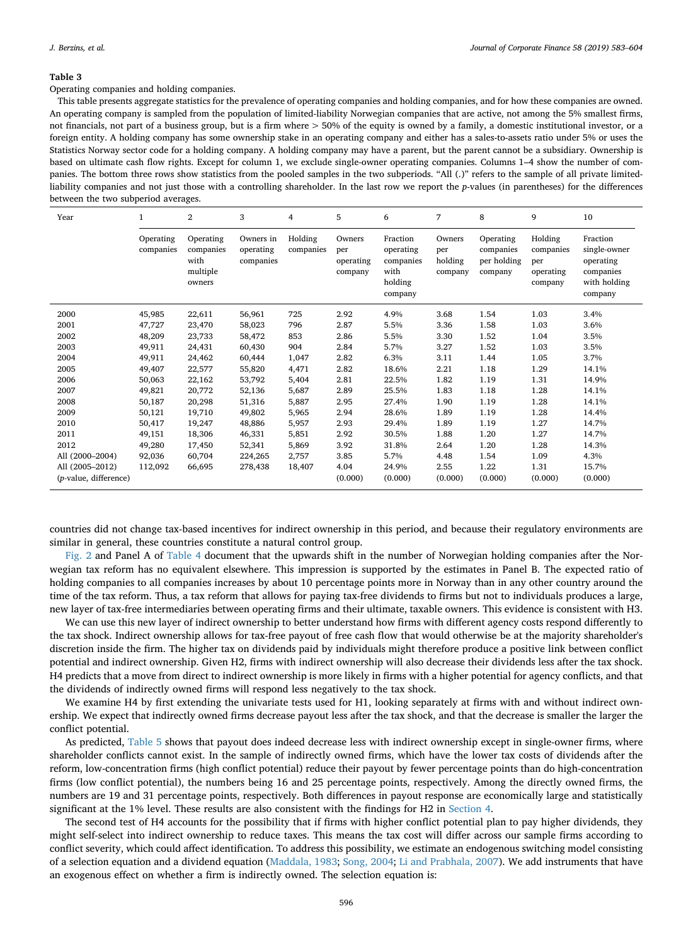### <span id="page-13-0"></span>**Table 3**

Operating companies and holding companies.

This table presents aggregate statistics for the prevalence of operating companies and holding companies, and for how these companies are owned. An operating company is sampled from the population of limited-liability Norwegian companies that are active, not among the 5% smallest firms, not financials, not part of a business group, but is a firm where > 50% of the equity is owned by a family, a domestic institutional investor, or a foreign entity. A holding company has some ownership stake in an operating company and either has a sales-to-assets ratio under 5% or uses the Statistics Norway sector code for a holding company. A holding company may have a parent, but the parent cannot be a subsidiary. Ownership is based on ultimate cash flow rights. Except for column 1, we exclude single-owner operating companies. Columns 1–4 show the number of companies. The bottom three rows show statistics from the pooled samples in the two subperiods. "All (.)" refers to the sample of all private limitedliability companies and not just those with a controlling shareholder. In the last row we report the *p*-values (in parentheses) for the differences between the two subperiod averages.

| Year                           | 1                      | $\mathbf{2}$                                         | 3                                   | 4                    | 5                                     | 6                                                                | 7                                   | 8                                                | 9                                                   | 10                                                                            |
|--------------------------------|------------------------|------------------------------------------------------|-------------------------------------|----------------------|---------------------------------------|------------------------------------------------------------------|-------------------------------------|--------------------------------------------------|-----------------------------------------------------|-------------------------------------------------------------------------------|
|                                | Operating<br>companies | Operating<br>companies<br>with<br>multiple<br>owners | Owners in<br>operating<br>companies | Holding<br>companies | Owners<br>per<br>operating<br>company | Fraction<br>operating<br>companies<br>with<br>holding<br>company | Owners<br>per<br>holding<br>company | Operating<br>companies<br>per holding<br>company | Holding<br>companies<br>per<br>operating<br>company | Fraction<br>single-owner<br>operating<br>companies<br>with holding<br>company |
| 2000                           | 45,985                 | 22,611                                               | 56,961                              | 725                  | 2.92                                  | 4.9%                                                             | 3.68                                | 1.54                                             | 1.03                                                | 3.4%                                                                          |
| 2001                           | 47,727                 | 23,470                                               | 58,023                              | 796                  | 2.87                                  | 5.5%                                                             | 3.36                                | 1.58                                             | 1.03                                                | 3.6%                                                                          |
| 2002                           | 48,209                 | 23,733                                               | 58,472                              | 853                  | 2.86                                  | 5.5%                                                             | 3.30                                | 1.52                                             | 1.04                                                | 3.5%                                                                          |
| 2003                           | 49,911                 | 24,431                                               | 60,430                              | 904                  | 2.84                                  | 5.7%                                                             | 3.27                                | 1.52                                             | 1.03                                                | 3.5%                                                                          |
| 2004                           | 49,911                 | 24,462                                               | 60,444                              | 1,047                | 2.82                                  | 6.3%                                                             | 3.11                                | 1.44                                             | 1.05                                                | 3.7%                                                                          |
| 2005                           | 49,407                 | 22,577                                               | 55,820                              | 4,471                | 2.82                                  | 18.6%                                                            | 2.21                                | 1.18                                             | 1.29                                                | 14.1%                                                                         |
| 2006                           | 50,063                 | 22,162                                               | 53,792                              | 5,404                | 2.81                                  | 22.5%                                                            | 1.82                                | 1.19                                             | 1.31                                                | 14.9%                                                                         |
| 2007                           | 49,821                 | 20,772                                               | 52,136                              | 5,687                | 2.89                                  | 25.5%                                                            | 1.83                                | 1.18                                             | 1.28                                                | 14.1%                                                                         |
| 2008                           | 50,187                 | 20,298                                               | 51,316                              | 5,887                | 2.95                                  | 27.4%                                                            | 1.90                                | 1.19                                             | 1.28                                                | 14.1%                                                                         |
| 2009                           | 50,121                 | 19,710                                               | 49,802                              | 5,965                | 2.94                                  | 28.6%                                                            | 1.89                                | 1.19                                             | 1.28                                                | 14.4%                                                                         |
| 2010                           | 50,417                 | 19,247                                               | 48,886                              | 5,957                | 2.93                                  | 29.4%                                                            | 1.89                                | 1.19                                             | 1.27                                                | 14.7%                                                                         |
| 2011                           | 49,151                 | 18,306                                               | 46,331                              | 5,851                | 2.92                                  | 30.5%                                                            | 1.88                                | 1.20                                             | 1.27                                                | 14.7%                                                                         |
| 2012                           | 49,280                 | 17,450                                               | 52,341                              | 5,869                | 3.92                                  | 31.8%                                                            | 2.64                                | 1.20                                             | 1.28                                                | 14.3%                                                                         |
| All (2000-2004)                | 92,036                 | 60,704                                               | 224,265                             | 2,757                | 3.85                                  | 5.7%                                                             | 4.48                                | 1.54                                             | 1.09                                                | 4.3%                                                                          |
| All (2005-2012)                | 112,092                | 66,695                                               | 278,438                             | 18,407               | 4.04                                  | 24.9%                                                            | 2.55                                | 1.22                                             | 1.31                                                | 15.7%                                                                         |
| ( <i>p</i> -value, difference) |                        |                                                      |                                     |                      | (0.000)                               | (0.000)                                                          | (0.000)                             | (0.000)                                          | (0.000)                                             | (0.000)                                                                       |

countries did not change tax-based incentives for indirect ownership in this period, and because their regulatory environments are similar in general, these countries constitute a natural control group.

[Fig. 2](#page-14-0) and Panel A of [Table 4](#page-15-0) document that the upwards shift in the number of Norwegian holding companies after the Norwegian tax reform has no equivalent elsewhere. This impression is supported by the estimates in Panel B. The expected ratio of holding companies to all companies increases by about 10 percentage points more in Norway than in any other country around the time of the tax reform. Thus, a tax reform that allows for paying tax-free dividends to firms but not to individuals produces a large, new layer of tax-free intermediaries between operating firms and their ultimate, taxable owners. This evidence is consistent with H3.

We can use this new layer of indirect ownership to better understand how firms with different agency costs respond differently to the tax shock. Indirect ownership allows for tax-free payout of free cash flow that would otherwise be at the majority shareholder's discretion inside the firm. The higher tax on dividends paid by individuals might therefore produce a positive link between conflict potential and indirect ownership. Given H2, firms with indirect ownership will also decrease their dividends less after the tax shock. H4 predicts that a move from direct to indirect ownership is more likely in firms with a higher potential for agency conflicts, and that the dividends of indirectly owned firms will respond less negatively to the tax shock.

We examine H4 by first extending the univariate tests used for H1, looking separately at firms with and without indirect ownership. We expect that indirectly owned firms decrease payout less after the tax shock, and that the decrease is smaller the larger the conflict potential.

As predicted, [Table 5](#page-16-0) shows that payout does indeed decrease less with indirect ownership except in single-owner firms, where shareholder conflicts cannot exist. In the sample of indirectly owned firms, which have the lower tax costs of dividends after the reform, low-concentration firms (high conflict potential) reduce their payout by fewer percentage points than do high-concentration firms (low conflict potential), the numbers being 16 and 25 percentage points, respectively. Among the directly owned firms, the numbers are 19 and 31 percentage points, respectively. Both differences in payout response are economically large and statistically significant at the 1% level. These results are also consistent with the findings for H2 in [Section 4.](#page-4-0)

<span id="page-13-1"></span>The second test of H4 accounts for the possibility that if firms with higher conflict potential plan to pay higher dividends, they might self-select into indirect ownership to reduce taxes. This means the tax cost will differ across our sample firms according to conflict severity, which could affect identification. To address this possibility, we estimate an endogenous switching model consisting of a selection equation and a dividend equation [\(Maddala, 1983](#page-21-18); [Song, 2004](#page-21-19); [Li and Prabhala, 2007\)](#page-21-20). We add instruments that have an exogenous effect on whether a firm is indirectly owned. The selection equation is: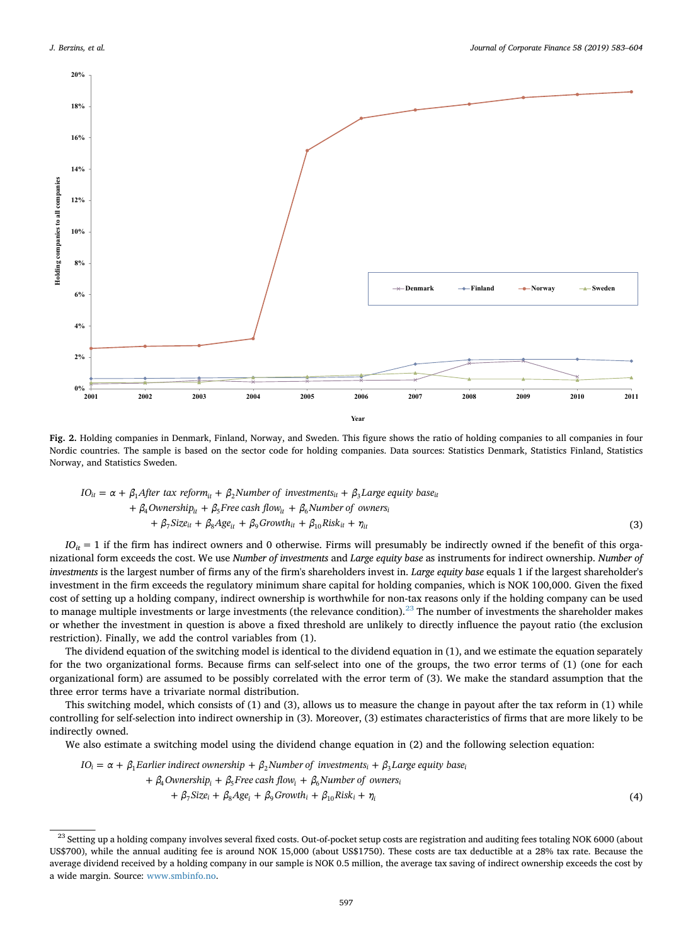<span id="page-14-0"></span>

**Fig. 2.** Holding companies in Denmark, Finland, Norway, and Sweden. This figure shows the ratio of holding companies to all companies in four Nordic countries. The sample is based on the sector code for holding companies. Data sources: Statistics Denmark, Statistics Finland, Statistics Norway, and Statistics Sweden.

$$
IO_{it} = \alpha + \beta_1 After \ tax \ reform_{it} + \beta_2 Number \ of \ investments_{it} + \beta_3 Large \ equity \ base_{it}
$$
  
+  $\beta_4$ Ownership<sub>it</sub> +  $\beta_5$ Free \ cash flow<sub>it</sub> +  $\beta_6$ Number of owners<sub>i</sub>  
+  $\beta_7$ Size<sub>it</sub> +  $\beta_8$ Age<sub>it</sub> +  $\beta_9$  Growth<sub>it</sub> +  $\beta_{10}$ Risk<sub>it</sub> +  $\eta_{it}$  (3)

 $IO_{it} = 1$  if the firm has indirect owners and 0 otherwise. Firms will presumably be indirectly owned if the benefit of this organizational form exceeds the cost. We use *Number of investments* and *Large equity base* as instruments for indirect ownership. *Number of investments* is the largest number of firms any of the firm's shareholders invest in. *Large equity base* equals 1 if the largest shareholder's investment in the firm exceeds the regulatory minimum share capital for holding companies, which is NOK 100,000. Given the fixed cost of setting up a holding company, indirect ownership is worthwhile for non-tax reasons only if the holding company can be used to manage multiple investments or large investments (the relevance condition).<sup>[23](#page-14-1)</sup> The number of investments the shareholder makes or whether the investment in question is above a fixed threshold are unlikely to directly influence the payout ratio (the exclusion restriction). Finally, we add the control variables from (1).

The dividend equation of the switching model is identical to the dividend equation in (1), and we estimate the equation separately for the two organizational forms. Because firms can self-select into one of the groups, the two error terms of (1) (one for each organizational form) are assumed to be possibly correlated with the error term of (3). We make the standard assumption that the three error terms have a trivariate normal distribution.

This switching model, which consists of (1) and (3), allows us to measure the change in payout after the tax reform in (1) while controlling for self-selection into indirect ownership in (3). Moreover, (3) estimates characteristics of firms that are more likely to be indirectly owned.

We also estimate a switching model using the dividend change equation in (2) and the following selection equation:

$$
IO_i = \alpha + \beta_1 \text{Earlier indirect ownership} + \beta_2 \text{Number of investments}_i + \beta_3 \text{Large equity base}_i
$$
  
+  $\beta_4$ Ownership<sub>i</sub> +  $\beta_5$ Free cash flow<sub>i</sub> +  $\beta_6$ Number of owners<sub>i</sub>  
+  $\beta_7$ Size<sub>i</sub> +  $\beta_8$ Age<sub>i</sub> +  $\beta_9$  Growth<sub>i</sub> +  $\beta_{10}$ Risk<sub>i</sub> +  $\eta_i$  (4)

<span id="page-14-1"></span> $^{23}$  Setting up a holding company involves several fixed costs. Out-of-pocket setup costs are registration and auditing fees totaling NOK 6000 (about US\$700), while the annual auditing fee is around NOK 15,000 (about US\$1750). These costs are tax deductible at a 28% tax rate. Because the average dividend received by a holding company in our sample is NOK 0.5 million, the average tax saving of indirect ownership exceeds the cost by a wide margin. Source: [www.smbinfo.no.](http://www.smbinfo.no)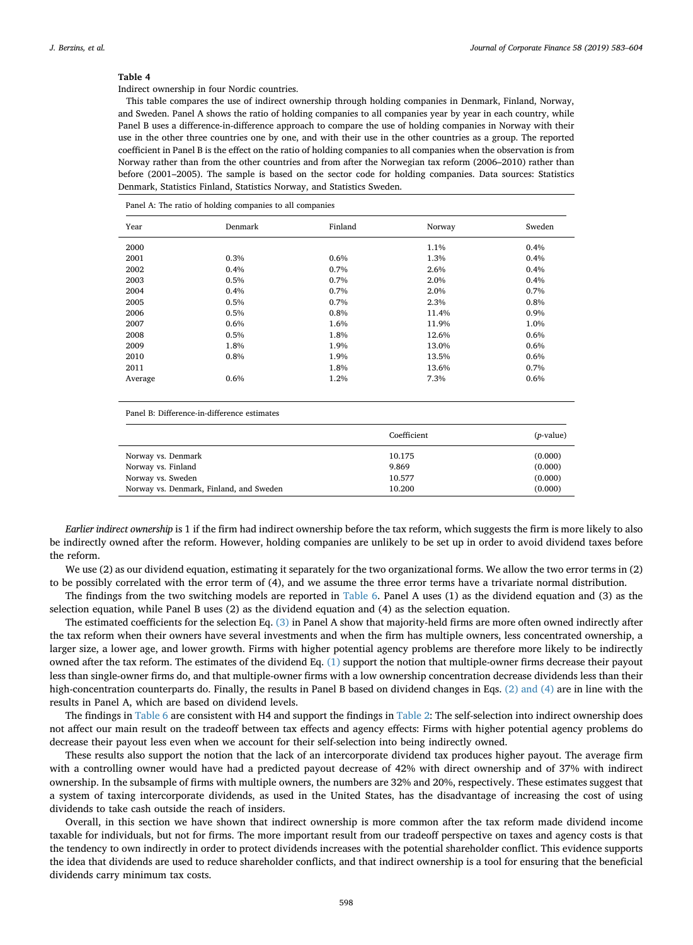## <span id="page-15-0"></span>**Table 4**

Indirect ownership in four Nordic countries.

This table compares the use of indirect ownership through holding companies in Denmark, Finland, Norway, and Sweden. Panel A shows the ratio of holding companies to all companies year by year in each country, while Panel B uses a difference-in-difference approach to compare the use of holding companies in Norway with their use in the other three countries one by one, and with their use in the other countries as a group. The reported coefficient in Panel B is the effect on the ratio of holding companies to all companies when the observation is from Norway rather than from the other countries and from after the Norwegian tax reform (2006–2010) rather than before (2001–2005). The sample is based on the sector code for holding companies. Data sources: Statistics Denmark, Statistics Finland, Statistics Norway, and Statistics Sweden.

| Panel A: The ratio of holding companies to all companies |         |         |        |         |
|----------------------------------------------------------|---------|---------|--------|---------|
| Year                                                     | Denmark | Finland | Norway | Sweden  |
| 2000                                                     |         |         | 1.1%   | 0.4%    |
| 2001                                                     | 0.3%    | 0.6%    | 1.3%   | $0.4\%$ |
| 2002                                                     | 0.4%    | 0.7%    | 2.6%   | $0.4\%$ |
| 2003                                                     | 0.5%    | 0.7%    | 2.0%   | 0.4%    |
| 2004                                                     | 0.4%    | 0.7%    | 2.0%   | 0.7%    |
| 2005                                                     | 0.5%    | 0.7%    | 2.3%   | 0.8%    |
| 2006                                                     | 0.5%    | $0.8\%$ | 11.4%  | $0.9\%$ |
| 2007                                                     | 0.6%    | 1.6%    | 11.9%  | 1.0%    |
| 2008                                                     | 0.5%    | 1.8%    | 12.6%  | $0.6\%$ |
| 2009                                                     | 1.8%    | 1.9%    | 13.0%  | $0.6\%$ |
| 2010                                                     | $0.8\%$ | 1.9%    | 13.5%  | $0.6\%$ |
| 2011                                                     |         | 1.8%    | 13.6%  | 0.7%    |
| Average                                                  | 0.6%    | 1.2%    | 7.3%   | 0.6%    |

Panel B: Difference-in-difference estimates

|                                         | Coefficient | $(p$ -value) |
|-----------------------------------------|-------------|--------------|
| Norway vs. Denmark                      | 10.175      | (0.000)      |
| Norway vs. Finland                      | 9.869       | (0.000)      |
| Norway vs. Sweden                       | 10.577      | (0.000)      |
| Norway vs. Denmark, Finland, and Sweden | 10.200      | (0.000)      |

*Earlier indirect ownership* is 1 if the firm had indirect ownership before the tax reform, which suggests the firm is more likely to also be indirectly owned after the reform. However, holding companies are unlikely to be set up in order to avoid dividend taxes before the reform.

We use (2) as our dividend equation, estimating it separately for the two organizational forms. We allow the two error terms in (2) to be possibly correlated with the error term of (4), and we assume the three error terms have a trivariate normal distribution.

The findings from the two switching models are reported in [Table 6.](#page-18-0) Panel A uses (1) as the dividend equation and (3) as the selection equation, while Panel B uses (2) as the dividend equation and (4) as the selection equation.

The estimated coefficients for the selection Eq. [\(3\)](#page-13-1) in Panel A show that majority-held firms are more often owned indirectly after the tax reform when their owners have several investments and when the firm has multiple owners, less concentrated ownership, a larger size, a lower age, and lower growth. Firms with higher potential agency problems are therefore more likely to be indirectly owned after the tax reform. The estimates of the dividend Eq. [\(1\)](#page-6-2) support the notion that multiple-owner firms decrease their payout less than single-owner firms do, and that multiple-owner firms with a low ownership concentration decrease dividends less than their high-concentration counterparts do. Finally, the results in Panel B based on dividend changes in Eqs. [\(2\) and \(4\)](#page-10-3) are in line with the results in Panel A, which are based on dividend levels.

The findings in [Table 6](#page-18-0) are consistent with H4 and support the findings in [Table 2:](#page-8-0) The self-selection into indirect ownership does not affect our main result on the tradeoff between tax effects and agency effects: Firms with higher potential agency problems do decrease their payout less even when we account for their self-selection into being indirectly owned.

These results also support the notion that the lack of an intercorporate dividend tax produces higher payout. The average firm with a controlling owner would have had a predicted payout decrease of 42% with direct ownership and of 37% with indirect ownership. In the subsample of firms with multiple owners, the numbers are 32% and 20%, respectively. These estimates suggest that a system of taxing intercorporate dividends, as used in the United States, has the disadvantage of increasing the cost of using dividends to take cash outside the reach of insiders.

Overall, in this section we have shown that indirect ownership is more common after the tax reform made dividend income taxable for individuals, but not for firms. The more important result from our tradeoff perspective on taxes and agency costs is that the tendency to own indirectly in order to protect dividends increases with the potential shareholder conflict. This evidence supports the idea that dividends are used to reduce shareholder conflicts, and that indirect ownership is a tool for ensuring that the beneficial dividends carry minimum tax costs.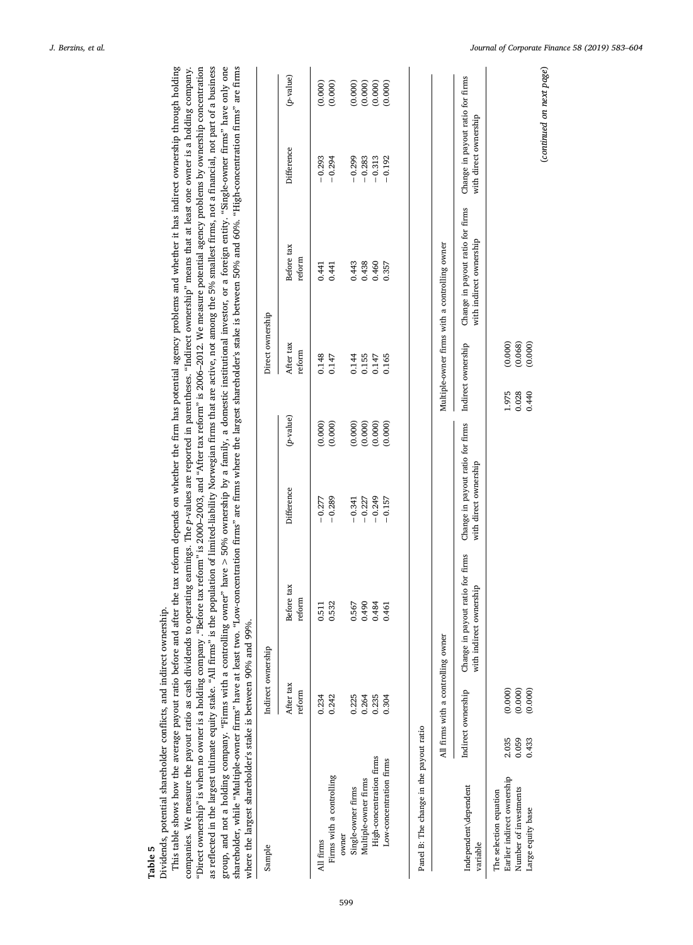| where the largest shareholder's stake is between 90% and 99%.<br>shareholder, while "Multiple-owner firms" have at least two. |                                    |                                                                |                                                           |                                     | "Low-concentration firms" are firms where the largest shareholder's stake is between 50% and 60%. "High-concentration firms" are firms |                                                           |
|-------------------------------------------------------------------------------------------------------------------------------|------------------------------------|----------------------------------------------------------------|-----------------------------------------------------------|-------------------------------------|----------------------------------------------------------------------------------------------------------------------------------------|-----------------------------------------------------------|
| Sample                                                                                                                        |                                    | Indirect ownership                                             |                                                           | Direct ownership                    |                                                                                                                                        |                                                           |
|                                                                                                                               | After tax<br>reform                | Before tax<br>reform                                           | Difference                                                | After tax<br>reform<br>$(p$ -value) | Before tax<br>reform                                                                                                                   | (p-value)<br>Difference                                   |
| All firms                                                                                                                     | 0.234                              | 0.511                                                          | (0.000)<br>$-0.277$                                       | 0.148                               | 0.441                                                                                                                                  | (0.000)<br>$-0.293$                                       |
| Firms with a controlling                                                                                                      | 0.242                              | 0.532                                                          | (0.000)<br>$-0.289$                                       | 0.147                               | 0.441                                                                                                                                  | (0.000)<br>$-0.294$                                       |
| owner                                                                                                                         |                                    |                                                                |                                                           |                                     |                                                                                                                                        |                                                           |
| Single-owner firms                                                                                                            | 0.225                              | 0.567                                                          | (0.000)<br>$-0.341$                                       | 0.144                               | 0.443                                                                                                                                  | (0.000)<br>$-0.299$                                       |
| Multiple-owner firms                                                                                                          | 0.264                              | 0.490                                                          | (0.000)<br>$-0.227$                                       | 0.155                               | 0.438                                                                                                                                  | (0.000)<br>$-0.283$                                       |
| High-concentration firms                                                                                                      | 0.235                              | 0.484                                                          | (0.000)<br>$-0.249$                                       | 0.147                               | 0.460                                                                                                                                  | (0.000)<br>$-0.313$                                       |
| Low-concentration firms                                                                                                       | 0.304                              | 0.461                                                          | (0.000)<br>$-0.157$                                       | 0.165                               | 0.357                                                                                                                                  | (0.000)<br>$-0.192$                                       |
|                                                                                                                               |                                    |                                                                |                                                           |                                     |                                                                                                                                        |                                                           |
| Panel B: The change in the payout ratio                                                                                       |                                    |                                                                |                                                           |                                     |                                                                                                                                        |                                                           |
|                                                                                                                               | All firms with a controlling owner |                                                                |                                                           |                                     | Multiple-owner firms with a controlling owner                                                                                          |                                                           |
| Independent\dependent<br>variable                                                                                             | Indirect ownership                 | payout ratio for firms<br>with indirect ownership<br>Change in | Change in payout ratio for firms<br>with direct ownership | Indirect ownership                  | Change in payout ratio for firms<br>with indirect ownership                                                                            | Change in payout ratio for firms<br>with direct ownership |
| Earlier indirect ownership<br>The selection equation                                                                          | (0.000)<br>2.035                   |                                                                |                                                           | (0.000)<br>1.975                    |                                                                                                                                        |                                                           |

<span id="page-16-0"></span>This table shows how the average payout ratio before and after the tax reform depends on whether the firm has potential agency problems and whether it has indirect ownership through holding Dividends, potential shareholder conflicts, and indirect ownership. Dividends, potential shareholder conflicts, and indirect ownership.

This table shows how the average payout ratio before and after the tax reform depends on whether the firm has potential agency problems and whether it has indirect ownership through holding companies. We measure the payout ratio as cash dividends to operating earnings. The *p*-values are reported in parentheses. "Indirect ownership" means that at least one owner is a holding company. "Direct ownership" is when no owner is a holding company ."Before tax reform" is 2000–2003, and "After tax reform" is 2006–2012. We measure potential agency problems by ownership concentration as reflected in the largest ultimate equity stake. "All firms" is the population of limited-liability Norwegian firms that are active, not among the 5% smallest firms, not a financial, not part of a business

"Direct ownership" is when no owner is a holding company . "Before tax reform" is 2000–2003, and "After tax reform" is 2006–2012. We measure potential agency problems by ownership concentration as reflected in the largest ultimate equity stake. "All firms" is the population of limited-liability Norwegian firms that are active, not among the 5% smallest firms, not a financial, not part of a business companies. We measure the payout ratio as cash dividends to operating earnings. The p-values are reported in parentheses. "Indirect ownership" means that at least one owner is a holding company.

(*continued on next page*)

(continued on next page)

Number of investments 0.059 (0.068) 0.059 (0.068) 0.000 0.000 0.000 0.000 0.059 (0.068) Large equity base  $0.433$  (0.000)  $(0.000)$  (0.000)  $(0.000)$ 

 $(0.000)$ <br> $(0.000)$ 

0.059<br>0.433

Number of investments Large equity base

 $(0.068)$ <br> $(0.000)$ 

0.028<br>0.440

**Table 5**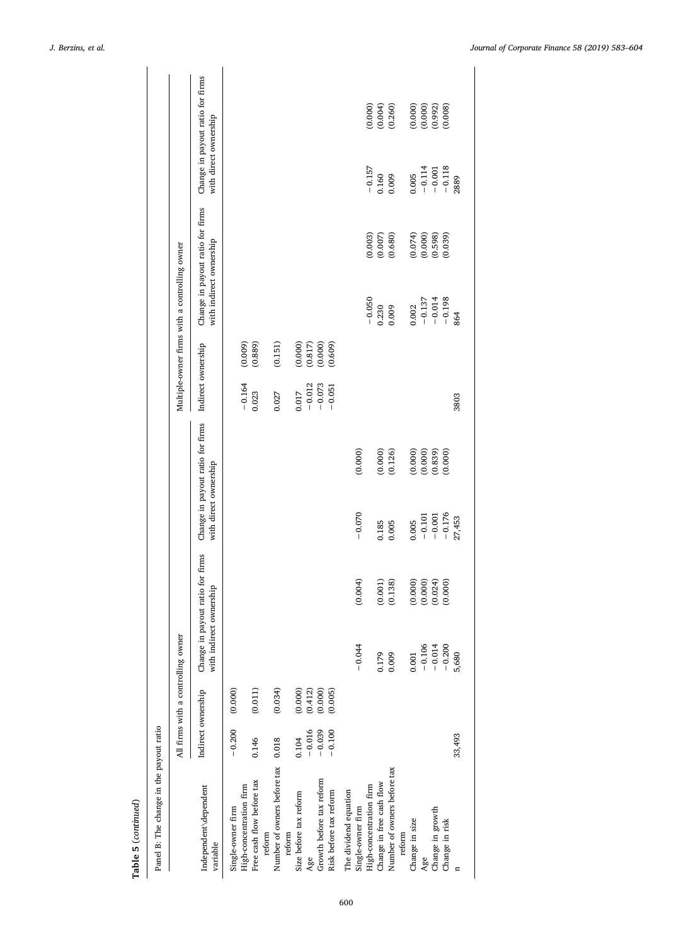| Panel B: The change in the payout ratio              |                    |                        |                                                             |                                     |                                                           |                                     |                    |                        |                                                             |         |                                                           |                                     |
|------------------------------------------------------|--------------------|------------------------|-------------------------------------------------------------|-------------------------------------|-----------------------------------------------------------|-------------------------------------|--------------------|------------------------|-------------------------------------------------------------|---------|-----------------------------------------------------------|-------------------------------------|
|                                                      |                    |                        | All firms with a controlling owner                          |                                     |                                                           |                                     |                    |                        | Multiple-owner firms with a controlling owner               |         |                                                           |                                     |
| Independent\dependent<br>variable                    | Indirect ownership |                        | Change in payout ratio for firms<br>with indirect ownership |                                     | Change in payout ratio for firms<br>with direct ownership |                                     | Indirect ownership |                        | Change in payout ratio for firms<br>with indirect ownership |         | Change in payout ratio for firms<br>with direct ownership |                                     |
| Single-owner firm                                    | $-0.200$           | (0.000)                |                                                             |                                     |                                                           |                                     |                    |                        |                                                             |         |                                                           |                                     |
| Free cash flow before tax<br>High-concentration firm | 0.146              | (0.011)                |                                                             |                                     |                                                           |                                     | $-0.164$<br>0.023  | (0.009)<br>(0.889)     |                                                             |         |                                                           |                                     |
| reform                                               |                    |                        |                                                             |                                     |                                                           |                                     |                    |                        |                                                             |         |                                                           |                                     |
| Number of owners before tax 0.018                    |                    | (0.034)                |                                                             |                                     |                                                           |                                     | 0.027              | (0.151)                |                                                             |         |                                                           |                                     |
| reform                                               |                    |                        |                                                             |                                     |                                                           |                                     |                    |                        |                                                             |         |                                                           |                                     |
| Size before tax reform                               | 0.104              | (0.000)                |                                                             |                                     |                                                           |                                     | 0.017              | (0.000)                |                                                             |         |                                                           |                                     |
| Age                                                  | $-0.016$           |                        |                                                             |                                     |                                                           |                                     | $-0.012$           | $(0.817)$<br>$(0.000)$ |                                                             |         |                                                           |                                     |
| Growth before tax reform                             | $-0.039$           | $(0.412)$<br>$(0.000)$ |                                                             |                                     |                                                           |                                     | $-0.073$           |                        |                                                             |         |                                                           |                                     |
| Risk before tax reform                               | $-0.100$           | (0.005)                |                                                             |                                     |                                                           |                                     | $-0.051$           | (0.609)                |                                                             |         |                                                           |                                     |
| The dividend equation                                |                    |                        |                                                             |                                     |                                                           |                                     |                    |                        |                                                             |         |                                                           |                                     |
| Single-owner firm                                    |                    |                        | $-0.044$                                                    | (0.004)                             | $-0.070$                                                  | (0.000)                             |                    |                        |                                                             |         |                                                           |                                     |
| High-concentration firm                              |                    |                        |                                                             |                                     |                                                           |                                     |                    |                        | $-0.050$                                                    | (0.003) | $-0.157$                                                  |                                     |
| Change in free cash flow                             |                    |                        | 0.179                                                       | (0.001)                             | 0.185                                                     |                                     |                    |                        | 0.230                                                       | (0.007) | 0.160                                                     |                                     |
| Number of owners before tax                          |                    |                        | 0.009                                                       | (0.138)                             | 0.005                                                     | $(0.000)$<br>$(0.126)$              |                    |                        | 0.009                                                       | (0.680) | 0.009                                                     | $(0.000)$<br>$(0.004)$<br>$(0.260)$ |
| reform                                               |                    |                        |                                                             |                                     |                                                           |                                     |                    |                        |                                                             |         |                                                           |                                     |
| Change in size                                       |                    |                        | 0.001                                                       |                                     | 0.005                                                     |                                     |                    |                        | 0.002                                                       | (0.074) | 0.005                                                     |                                     |
| Age                                                  |                    |                        | $-0.106$                                                    | $(0.000)$<br>$(0.000)$<br>$(0.024)$ | $-0.101$                                                  | $(0.000)$<br>$(0.000)$<br>$(0.839)$ |                    |                        | $-0.137$<br>$-0.014$<br>$-0.198$                            | (0.000) | $-0.114$                                                  | $(0.000)$<br>$(0.000)$<br>$(0.992)$ |
| Change in growth                                     |                    |                        | $-0.014$                                                    |                                     | $-0.001$                                                  |                                     |                    |                        |                                                             | (0.598) | $-0.001$                                                  |                                     |
| Change in risk                                       |                    |                        | $-0.200$                                                    | (0.000)                             | $-0.176$                                                  | (0.000)                             |                    |                        |                                                             | (0.039) | $-0.118$                                                  | (0.008)                             |
|                                                      | 33,493             |                        | 5,680                                                       |                                     | 27,453                                                    |                                     | 3803               |                        | 864                                                         |         | 2889                                                      |                                     |
|                                                      |                    |                        |                                                             |                                     |                                                           |                                     |                    |                        |                                                             |         |                                                           |                                     |

**Table 5** (*continued*)

 ${\bf Table~5}~(continued)$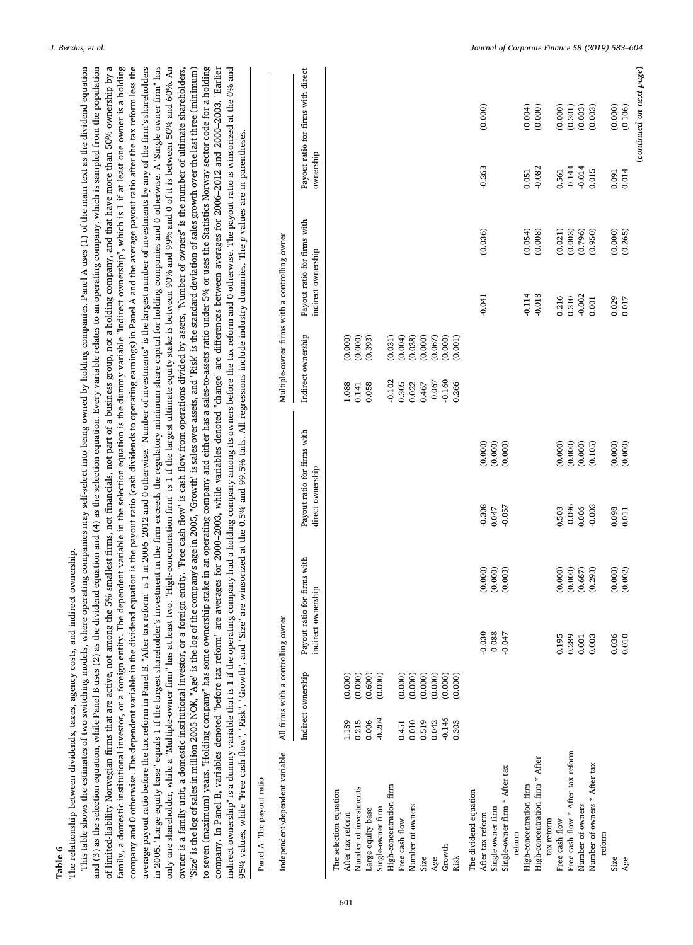The relationship between dividends, taxes, agency costs, and indirect ownership. The relationship between dividends, taxes, agency costs, and indirect ownership.

<span id="page-18-0"></span>average payout ratio before the tax reform in Panel B. "After tax reform" is 1 in 2006–2012 and 0 otherwise. "Number of investments" is the largest number of investments by any of the firm's shareholders of limited-liability Norwegian firms that are active, not among the 5% smallest firms, not financials, not part of a business group, not a holding company, and that have more than 50% ownership by a family, a domestic institutional investor, or a foreign entity. The dependent variable in the selection equation is the dummy variable "Indirect ownership", which is 1 if at least one owner is a holding company and 0 otherwise. The dependent variable in the dividend equation is the payout ratio (cash dividends to operating earnings) in Panel A and the average payout ratio after the tax reform less the in 2005. "Large equity base" equals 1 if the largest shareholder's investment in the firm exceeds the regulatory minimum share capital for holding companies and 0 otherwise. A "Single-owner firm" has only one shareholder, while a "Multiple-owner firm" has at least two. "High-concentration firm" is 1 if the largest ultimate equity stake is between 90% and 09% and 0 of it is between 50% and 60%. An owner is a family unit, a domestic institutional investor, or a foreign entity. "Free cash flow" is cash flow from operations divided by assets, "Number of owners" is the number of ultimate shareholders, "Size" is the log of sales in million 2005 NOK, "Age" is the log of the company's age in 2005, "Growth" is sales over assets, and "Risk" is the standard deviation of sales growth over the last three (minimum) to seven (maximum) years. "Holding company" has some ownership stake in an operating company and either has a sales-to-assets ratio under 5% or uses the Statistics Norway sector code for a holding company. In Panel B, variables denoted "before tax reform" are averages for 2000-2003, while variables denoted "change" are differences between averages for 2006-2012 and 2000-2003. "Earlier indirect ownership" is a dummy variable that is 1 if the operating company had a holding company among its owners before the tax reform and 0 otherwise. The payout ratio is winsorized at the 0% and This table shows the estimates of two switching models, where operating companies may self-select into being owned by holding companies. Panel A uses (1) of the main text as the dividend equation and (3) as the selection equation, while Panel B uses (2) as the dividend equation and (4) as the selection equation. Every variable relates to an operating company, which is sampled from the population of limited-liability Norwegian firms that are active, not among the 5% smallest firms, not financials, not part of a business group, not a holding company, and that have more than 50% ownership by a family, a domestic institutional investor, or a foreign entity. The dependent variable in the selection is the dummy variable "Indirect ownership", which is 1 if at least one owner is a holding only one shareholder, while a "Multiple-owner firm" has at least two. "High-concentration firm" is 1 if the largest ultimate equity stake is between 90% and 99% and 0 of it is between 50% and 60%. An to seven (maximum) years. "Holding company" has some ownership stake in an operating company and either has a sales-to-assets ratio under 5% or uses the Statistics Norway sector code for a holding company. In Panel B, variables denoted "before tax reform" are averages for 2000–2003, while variables denoted "change" are differences between averages for 2006–2012 and 2000–2003. "Earlier indirect ownership" is a dummy variable that is 1 if the operating company had a holding company among its owners before the tax reform and 0 otherwise. The payout ratio is winsorized at the 0% and This table shows the estimates of two switching models, where operating companies may self-select into being owned by holding companies. Panel A uses (1) of the main text as the dividend equation and (3) as the selection equation, while Panel B uses (2) as the dividend equation and (4) as the selection equation. Every variable relates to an operating company, which is sampled from the population company and 0 otherwise. The dependent variable in the dividend equation is the payout ratio (cash dividends to operating earnings) in Panel A and the average payout ratio after the tax reform less the average payout ratio before the tax reform in Panel B. "After tax reform" is 1 in 2006–2012 and 0 otherwise. "Number of investments" is the largest number of investments by any of the firm's shareholders in 2005. "Large equity base" equals 1 if the largest shareholder's investment in the firm exceeds the regulatory minimum share capital for holding companies and 0 otherwise. A "Single-owner firm" has owner is a family unit, a domestic institutional investor, or a foreign entity. "Free cash flow" is cash flow from operations divided by assets, "Number of owners" is the number of ultimate shareholders, "Size" is the log of sales in million 2005 NOK, "Age" is the log of the company's age in 2005, "Growth" is sales over assets, and "Risk" is the standard deviation of sales growth over the last three (minimum) 95% values, while "Free cash flow", "Risk", "Growth", and "Size" are winsorized at the 0.5% and 99.5% tails. All regressions include industry dummies. The p-values are in parentheses. 95% values, while "Free cash flow", "Risk", "Growth", and "Size" are winsorized at the 0.5% and 99.5% tails. All regressions include industry dummies. The *p-*values are in parentheses. Panel A: The payout ratio Panel A: The payout ratio

| Independent\dependent variable                                                                                                                                                                                  |                                                                                                  | All firms with a controlling owner                                                                                     |                                                   |                                              |                                                 |                                          |                                                                                                |                                                                                                            | Multiple-owner firms with a controlling owner     |                                          |                                        |                                                |
|-----------------------------------------------------------------------------------------------------------------------------------------------------------------------------------------------------------------|--------------------------------------------------------------------------------------------------|------------------------------------------------------------------------------------------------------------------------|---------------------------------------------------|----------------------------------------------|-------------------------------------------------|------------------------------------------|------------------------------------------------------------------------------------------------|------------------------------------------------------------------------------------------------------------|---------------------------------------------------|------------------------------------------|----------------------------------------|------------------------------------------------|
|                                                                                                                                                                                                                 |                                                                                                  | Indirect ownership                                                                                                     | Payout ratio for firms with<br>indirect ownership |                                              | Payout ratio for firms with<br>direct ownership |                                          | Indirect ownership                                                                             |                                                                                                            | Payout ratio for firms with<br>indirect ownership |                                          | ownership                              | Payout ratio for firms with direct             |
| High-concentration firm<br>Number of investments<br>The selection equation<br>Number of owners<br>Large equity base<br>Single-owner firm<br>After tax reform<br>Free cash flow<br>Growth<br>Age<br>Risk<br>Size | $-0.209$<br>$-0.146$<br>0.215<br>$0.010\,$<br>0.519<br>1.189<br>0.006<br>0.042<br>0.303<br>0.451 | $(0.600)$<br>$(0.000)$<br>$(0.000)$<br>$(0.000)$<br>$(0.000)$<br>$(0.000)$<br>(0.000)<br>(0.000)<br>(0.000)<br>(0.000) |                                                   |                                              |                                                 |                                          | $-0.102$<br>$-0.067$<br>$-0.160$<br>.088<br>0.305<br>0.022<br>0.467<br>0.058<br>0.266<br>0.141 | (0.000)<br>(0.000)<br>(0.393)<br>(0.038)<br>(0.000)<br>(0.031)<br>(0.004)<br>(0.000)<br>(0.067)<br>(0.001) |                                                   |                                          |                                        |                                                |
| Single-owner firm * After tax<br>The dividend equation<br>Single-owner firm<br>After tax reform                                                                                                                 |                                                                                                  |                                                                                                                        | $-0.030$<br>$-0.088$<br>$-0.047$                  | (0.000)<br>(0.000)<br>(0.003)                | $-0.308$<br>$-0.057$<br>0.047                   | (0.000)<br>(0.000)<br>(0.000)            |                                                                                                |                                                                                                            | $-0.041$                                          | (0.036)                                  | $-0.263$                               | (0.000)                                        |
| High-concentration firm * After<br>High-concentration firm<br>tax reform<br>reform                                                                                                                              |                                                                                                  |                                                                                                                        |                                                   |                                              |                                                 |                                          |                                                                                                |                                                                                                            | $-0.114$<br>$-0.018$                              | $(0.054)$<br>$(0.008)$                   | $-0.082$<br>0.051                      | $(0.004)$<br>$(0.000)$                         |
| Free cash flow * After tax reform<br>Number of owners * After tax<br>Number of owners<br>Free cash flow<br>reform                                                                                               |                                                                                                  |                                                                                                                        | 0.195<br>0.289<br>0.001<br>0.003                  | (0.000)<br>(0.000)<br>$(0.687)$<br>$(0.293)$ | $-0.096$<br>$-0.003$<br>0.503<br>0.006          | (0.000)<br>(0.000)<br>(0.000)<br>(0.105) |                                                                                                |                                                                                                            | $-0.002$<br>0.216<br>0.310<br>0.001               | (0.021)<br>(0.003)<br>(0.796)<br>(0.950) | $-0.144$<br>$-0.014$<br>0.015<br>0.561 | (0.000)<br>(0.301)<br>(0.003)<br>(0.003)       |
| Size<br>Age                                                                                                                                                                                                     |                                                                                                  |                                                                                                                        | 0.036<br>0.010                                    | (0.000)<br>(0.002)                           | 0.098<br>0.011                                  | (0.000)<br>(0.000)                       |                                                                                                |                                                                                                            | 0.029<br>0.017                                    | (0.000)<br>(0.265)                       | 0.014<br>0.091                         | (continued on next page)<br>(0.000)<br>(0.106) |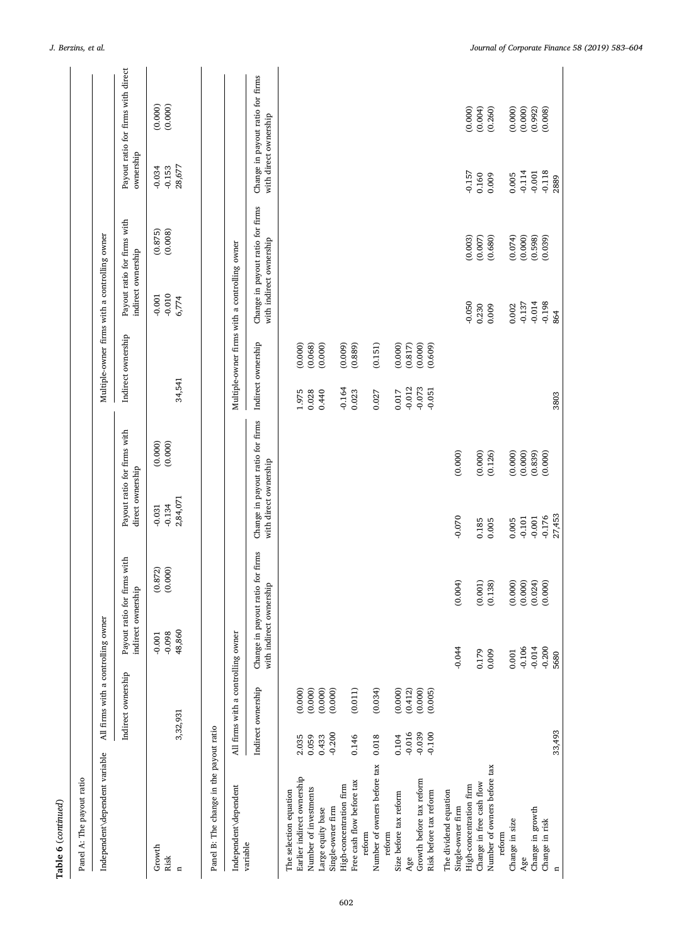| Panel A: The payout ratio                                 |                                  |                                                                                    |                                    |                                  |                                  |                                  |                                  |                               |                                               |                                     |                                |                                    |
|-----------------------------------------------------------|----------------------------------|------------------------------------------------------------------------------------|------------------------------------|----------------------------------|----------------------------------|----------------------------------|----------------------------------|-------------------------------|-----------------------------------------------|-------------------------------------|--------------------------------|------------------------------------|
| Independent\dependent variable                            |                                  |                                                                                    | All firms with a controlling owner |                                  |                                  |                                  |                                  |                               | Multiple-owner firms with a controlling owner |                                     |                                |                                    |
|                                                           |                                  | Indirect ownership                                                                 | indirect ownership                 | Payout ratio for firms with      | direct ownership                 | Payout ratio for firms with      |                                  | Indirect ownership            | indirect ownership                            | Payout ratio for firms with         | ownership                      | Payout ratio for firms with direct |
| Growth<br>Risk<br>$\mathbf{a}$                            | 3,32,931                         |                                                                                    | $-0.001$<br>$-0.098$<br>$+8,860$   | $(0.872)$<br>$(0.000)$           | 2,84,071<br>$-0.134$<br>$-0.031$ | (0.000)<br>(0.000)               | 34,541                           |                               | $-0.001$<br>6,774                             | $(0.875)$<br>$(0.008)$              | 28,677<br>$-0.153$<br>$-0.034$ | (0.000)<br>(0.000)                 |
| Panel B: The change in the payout ratio                   |                                  |                                                                                    |                                    |                                  |                                  |                                  |                                  |                               |                                               |                                     |                                |                                    |
| Independent\dependent<br>variable                         |                                  | All firms with a controlling owner                                                 |                                    |                                  |                                  |                                  |                                  |                               | Multiple-owner firms with a controlling owner |                                     |                                |                                    |
|                                                           |                                  | Indirect ownership                                                                 | with indirect ownership            | Change in payout ratio for firms | with direct ownership            | Change in payout ratio for firms | Indirect ownership               |                               | with indirect ownership                       | Change in payout ratio for firms    | with direct ownership          | Change in payout ratio for firms   |
| The selection equation                                    |                                  |                                                                                    |                                    |                                  |                                  |                                  |                                  |                               |                                               |                                     |                                |                                    |
| Earlier indirect ownership<br>Number of investments       | 2.035<br>0.059                   | $\begin{array}{l} (0.000) \\ (0.000) \\ (0.000) \\ (0.000) \\ (0.000) \end{array}$ |                                    |                                  |                                  |                                  | 1.975<br>0.028                   | (0.000)<br>(0.068)            |                                               |                                     |                                |                                    |
| Large equity base                                         | 0.433                            |                                                                                    |                                    |                                  |                                  |                                  | 0.440                            | (0.000)                       |                                               |                                     |                                |                                    |
| High-concentration firm<br>Single-owner firm              | $-0.200$                         |                                                                                    |                                    |                                  |                                  |                                  | $-0.164$                         | (0.009)                       |                                               |                                     |                                |                                    |
| Free cash flow before tax<br>reform                       | 0.146                            | (0.011)                                                                            |                                    |                                  |                                  |                                  | 0.023                            | (0.889)                       |                                               |                                     |                                |                                    |
| Number of owners before tax                               | 0.018                            | (0.034)                                                                            |                                    |                                  |                                  |                                  | 0.027                            | (0.151)                       |                                               |                                     |                                |                                    |
| Size before tax reform<br>reform                          | 0.104                            | (0.000)                                                                            |                                    |                                  |                                  |                                  | 0.017                            | (0.000)                       |                                               |                                     |                                |                                    |
| Growth before tax reform<br>Risk before tax reform<br>Age | $-0.016$<br>$-0.039$<br>$-0.100$ | $(0.412)$<br>$(0.000)$<br>$(0.005)$                                                |                                    |                                  |                                  |                                  | $-0.012$<br>$-0.073$<br>$-0.051$ | (0.000)<br>(0.817)<br>(0.609) |                                               |                                     |                                |                                    |
| The dividend equation                                     |                                  |                                                                                    |                                    |                                  |                                  |                                  |                                  |                               |                                               |                                     |                                |                                    |
| High-concentration firm<br>Single-owner firm              |                                  |                                                                                    | $-0.044$                           | (0.004)                          | $-0.070$                         | (0.000)                          |                                  |                               | $-0.050$                                      |                                     | $-0.157$                       | (0.000)                            |
| Change in free cash flow                                  |                                  |                                                                                    | 0.179                              | (0.001)                          | 0.185                            | (0.000)                          |                                  |                               | 0.230<br>0.009                                | $(0.003)$<br>$(0.007)$<br>$(0.680)$ | 0.160                          | (0.004)                            |
| Number of owners before tax<br>reform                     |                                  |                                                                                    | 0.009                              | (0.138)                          | 0.005                            | (0.126)                          |                                  |                               |                                               |                                     | 0.009                          | (0.260)                            |
| Change in size                                            |                                  |                                                                                    | 0.001                              | (0.000)                          | 0.005                            | (0.000)                          |                                  |                               | 0.002                                         | (0.074)                             | 0.005                          | (0.000)                            |
| Age                                                       |                                  |                                                                                    | $-0.106$                           | (0.000)                          | $-0.101$                         | (0.000)                          |                                  |                               | $-0.137$                                      | (0.000)                             | $-0.114$                       | (0.000)                            |
| Change in growth                                          |                                  |                                                                                    | $-0.014$                           | (0.024)                          | $-0.001$                         | (0.839)                          |                                  |                               | $-0.014$                                      | (0.598)                             | $-0.001$                       | (0.992)                            |
| Change in risk<br>$\Xi$                                   | 33,493                           |                                                                                    | $-0.200$<br>5680                   | (0.000)                          | 27,453<br>$-0.176$               | (0.000)                          | 3803                             |                               | $-0.198$<br>864                               | (0.039)                             | $-0.118$<br>2889               | (0.008)                            |
|                                                           |                                  |                                                                                    |                                    |                                  |                                  |                                  |                                  |                               |                                               |                                     |                                |                                    |

**Table 6** (*continued*)

 ${\bf Table} \ 6 \ (continued)$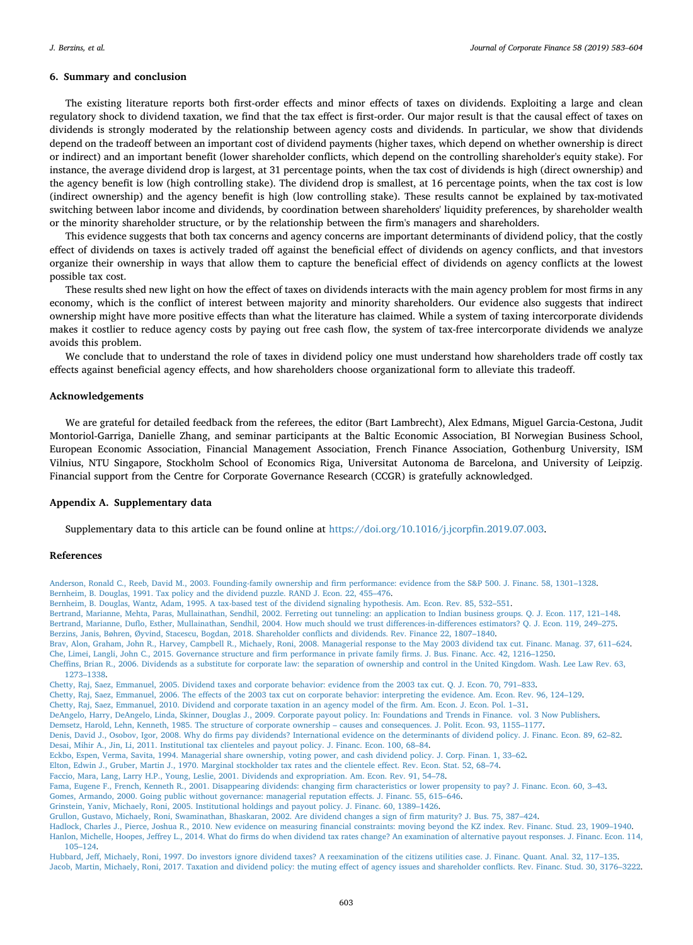## <span id="page-20-14"></span>**6. Summary and conclusion**

The existing literature reports both first-order effects and minor effects of taxes on dividends. Exploiting a large and clean regulatory shock to dividend taxation, we find that the tax effect is first-order. Our major result is that the causal effect of taxes on dividends is strongly moderated by the relationship between agency costs and dividends. In particular, we show that dividends depend on the tradeoff between an important cost of dividend payments (higher taxes, which depend on whether ownership is direct or indirect) and an important benefit (lower shareholder conflicts, which depend on the controlling shareholder's equity stake). For instance, the average dividend drop is largest, at 31 percentage points, when the tax cost of dividends is high (direct ownership) and the agency benefit is low (high controlling stake). The dividend drop is smallest, at 16 percentage points, when the tax cost is low (indirect ownership) and the agency benefit is high (low controlling stake). These results cannot be explained by tax-motivated switching between labor income and dividends, by coordination between shareholders' liquidity preferences, by shareholder wealth or the minority shareholder structure, or by the relationship between the firm's managers and shareholders.

This evidence suggests that both tax concerns and agency concerns are important determinants of dividend policy, that the costly effect of dividends on taxes is actively traded off against the beneficial effect of dividends on agency conflicts, and that investors organize their ownership in ways that allow them to capture the beneficial effect of dividends on agency conflicts at the lowest possible tax cost.

These results shed new light on how the effect of taxes on dividends interacts with the main agency problem for most firms in any economy, which is the conflict of interest between majority and minority shareholders. Our evidence also suggests that indirect ownership might have more positive effects than what the literature has claimed. While a system of taxing intercorporate dividends makes it costlier to reduce agency costs by paying out free cash flow, the system of tax-free intercorporate dividends we analyze avoids this problem.

We conclude that to understand the role of taxes in dividend policy one must understand how shareholders trade off costly tax effects against beneficial agency effects, and how shareholders choose organizational form to alleviate this tradeoff.

### **Acknowledgements**

We are grateful for detailed feedback from the referees, the editor (Bart Lambrecht), Alex Edmans, Miguel Garcia-Cestona, Judit Montoriol-Garriga, Danielle Zhang, and seminar participants at the Baltic Economic Association, BI Norwegian Business School, European Economic Association, Financial Management Association, French Finance Association, Gothenburg University, ISM Vilnius, NTU Singapore, Stockholm School of Economics Riga, Universitat Autonoma de Barcelona, and University of Leipzig. Financial support from the Centre for Corporate Governance Research (CCGR) is gratefully acknowledged.

### **Appendix A. Supplementary data**

Supplementary data to this article can be found online at <https://doi.org/10.1016/j.jcorpfin.2019.07.003>.

#### **References**

<span id="page-20-25"></span>[Anderson, Ronald C., Reeb, David M., 2003. Founding-family ownership and firm performance: evidence from the S&P 500. J. Financ. 58, 1301–1328.](http://refhub.elsevier.com/S0929-1199(18)30026-9/rf0005)

<span id="page-20-6"></span>[Bernheim, B. Douglas, 1991. Tax policy and the dividend puzzle. RAND J. Econ. 22, 455–476.](http://refhub.elsevier.com/S0929-1199(18)30026-9/rf0010)

<span id="page-20-7"></span>[Bernheim, B. Douglas, Wantz, Adam, 1995. A tax-based test of the dividend signaling hypothesis. Am. Econ. Rev. 85, 532–551](http://refhub.elsevier.com/S0929-1199(18)30026-9/rf0015).

<span id="page-20-9"></span>[Bertrand, Marianne, Mehta, Paras, Mullainathan, Sendhil, 2002. Ferreting out tunneling: an application to Indian business groups. Q. J. Econ. 117, 121–148](http://refhub.elsevier.com/S0929-1199(18)30026-9/rf0020).

<span id="page-20-24"></span>[Bertrand, Marianne, Duflo, Esther, Mullainathan, Sendhil, 2004. How much should we trust differences-in-differences estimators? Q. J. Econ. 119, 249–275.](http://refhub.elsevier.com/S0929-1199(18)30026-9/rf0025)

<span id="page-20-13"></span>[Berzins, Janis, Bøhren, Øyvind, Stacescu, Bogdan, 2018. Shareholder conflicts and dividends. Rev. Finance 22, 1807–1840.](http://refhub.elsevier.com/S0929-1199(18)30026-9/rf0030)

- <span id="page-20-11"></span><span id="page-20-2"></span>[Brav, Alon, Graham, John R., Harvey, Campbell R., Michaely, Roni, 2008. Managerial response to the May 2003 dividend tax cut. Financ. Manag. 37, 611–624](http://refhub.elsevier.com/S0929-1199(18)30026-9/rf0035). [Che, Limei, Langli, John C., 2015. Governance structure and firm performance in private family firms. J. Bus. Financ. Acc. 42, 1216–1250.](http://refhub.elsevier.com/S0929-1199(18)30026-9/rf0040)
- <span id="page-20-18"></span>[Cheffins, Brian R., 2006. Dividends as a substitute for corporate law: the separation of ownership and control in the United Kingdom. Wash. Lee Law Rev. 63,](http://refhub.elsevier.com/S0929-1199(18)30026-9/rf0045) [1273–1338.](http://refhub.elsevier.com/S0929-1199(18)30026-9/rf0045)
- <span id="page-20-0"></span>[Chetty, Raj, Saez, Emmanuel, 2005. Dividend taxes and corporate behavior: evidence from the 2003 tax cut. Q. J. Econ. 70, 791–833.](http://refhub.elsevier.com/S0929-1199(18)30026-9/rf0050)
- [Chetty, Raj, Saez, Emmanuel, 2006. The effects of the 2003 tax cut on corporate behavior: interpreting the evidence. Am. Econ. Rev. 96, 124–129](http://refhub.elsevier.com/S0929-1199(18)30026-9/rf0055).
- [Chetty, Raj, Saez, Emmanuel, 2010. Dividend and corporate taxation in an agency model of the firm. Am. Econ. J. Econ. Pol. 1–31.](http://refhub.elsevier.com/S0929-1199(18)30026-9/rf0060)
- <span id="page-20-19"></span>[DeAngelo, Harry, DeAngelo, Linda, Skinner, Douglas J., 2009. Corporate payout policy. In: Foundations and Trends in Finance. vol. 3 Now Publishers.](http://refhub.elsevier.com/S0929-1199(18)30026-9/rf0065)

<span id="page-20-16"></span>[Demsetz, Harold, Lehn, Kenneth, 1985. The structure of corporate ownership – causes and consequences. J. Polit. Econ. 93, 1155–1177.](http://refhub.elsevier.com/S0929-1199(18)30026-9/rf0070)

- <span id="page-20-20"></span><span id="page-20-5"></span>[Denis, David J., Osobov, Igor, 2008. Why do firms pay dividends? International evidence on the determinants of dividend policy. J. Financ. Econ. 89, 62–82](http://refhub.elsevier.com/S0929-1199(18)30026-9/rf0075). [Desai, Mihir A., Jin, Li, 2011. Institutional tax clienteles and payout policy. J. Financ. Econ. 100, 68–84.](http://refhub.elsevier.com/S0929-1199(18)30026-9/rf0080)
- <span id="page-20-17"></span>[Eckbo, Espen, Verma, Savita, 1994. Managerial share ownership, voting power, and cash dividend policy. J. Corp. Finan. 1, 33–62.](http://refhub.elsevier.com/S0929-1199(18)30026-9/rf0085)
- <span id="page-20-4"></span>[Elton, Edwin J., Gruber, Martin J., 1970. Marginal stockholder tax rates and the clientele effect. Rev. Econ. Stat. 52, 68–74.](http://refhub.elsevier.com/S0929-1199(18)30026-9/rf0090)

<span id="page-20-10"></span>[Faccio, Mara, Lang, Larry H.P., Young, Leslie, 2001. Dividends and expropriation. Am. Econ. Rev. 91, 54–78.](http://refhub.elsevier.com/S0929-1199(18)30026-9/rf0095)

- <span id="page-20-22"></span>[Fama, Eugene F., French, Kenneth R., 2001. Disappearing dividends: changing firm characteristics or lower propensity to pay? J. Financ. Econ. 60, 3–43.](http://refhub.elsevier.com/S0929-1199(18)30026-9/rf0100)
- <span id="page-20-3"></span>[Gomes, Armando, 2000. Going public without governance: managerial reputation effects. J. Financ. 55, 615–646.](http://refhub.elsevier.com/S0929-1199(18)30026-9/rf0105)
- <span id="page-20-15"></span>[Grinstein, Yaniv, Michaely, Roni, 2005. Institutional holdings and payout policy. J. Financ. 60, 1389–1426.](http://refhub.elsevier.com/S0929-1199(18)30026-9/rf0110)
- <span id="page-20-23"></span>[Grullon, Gustavo, Michaely, Roni, Swaminathan, Bhaskaran, 2002. Are dividend changes a sign of firm maturity? J. Bus. 75, 387–424](http://refhub.elsevier.com/S0929-1199(18)30026-9/rf0115).

<span id="page-20-21"></span><span id="page-20-12"></span>[Hadlock, Charles J., Pierce, Joshua R., 2010. New evidence on measuring financial constraints: moving beyond the KZ index. Rev. Financ. Stud. 23, 1909–1940](http://refhub.elsevier.com/S0929-1199(18)30026-9/rf0120). [Hanlon, Michelle, Hoopes, Jeffrey L., 2014. What do firms do when dividend tax rates change? An examination of alternative payout responses. J. Financ. Econ. 114,](http://refhub.elsevier.com/S0929-1199(18)30026-9/rf0125) [105–124.](http://refhub.elsevier.com/S0929-1199(18)30026-9/rf0125)

<span id="page-20-8"></span><span id="page-20-1"></span>[Hubbard, Jeff, Michaely, Roni, 1997. Do investors ignore dividend taxes? A reexamination of the citizens utilities case. J. Financ. Quant. Anal. 32, 117–135](http://refhub.elsevier.com/S0929-1199(18)30026-9/rf0130). [Jacob, Martin, Michaely, Roni, 2017. Taxation and dividend policy: the muting effect of agency issues and shareholder conflicts. Rev. Financ. Stud. 30, 3176–3222](http://refhub.elsevier.com/S0929-1199(18)30026-9/rf0135).